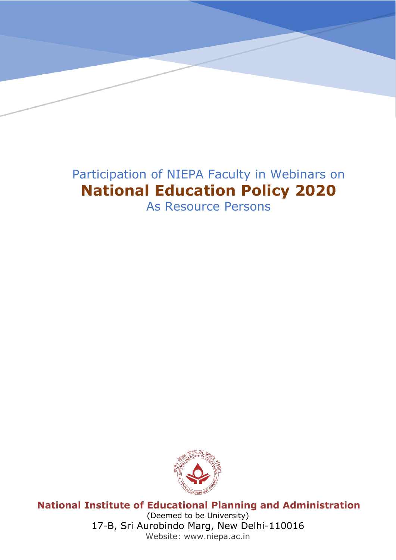## Participation of NIEPA Faculty in Webinars on **National Education Policy 2020**

**NationalInstituteof EducationalPlanningandAdministration**

(Deemed to be University)

**Website: www.niepa.ac.in**

17-B, Sri Aurobindo Marg, New Delhi-110016

As Resource Persons



**National Institute of Educational Planning and Administration** (Deemed to be University) 17-B, Sri Aurobindo Marg, New Delhi-110016 Website: www.niepa.ac.in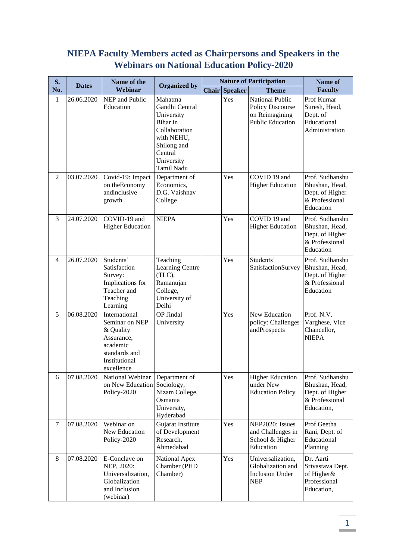## **NIEPA Faculty Members acted as Chairpersons and Speakers in the Webinars on National Education Policy-2020**

| S.             | <b>Dates</b> | Name of the                                                                                                            |                                                                                                                                          |                      | <b>Nature of Participation</b>                                                                 | <b>Name of</b>                                                                       |
|----------------|--------------|------------------------------------------------------------------------------------------------------------------------|------------------------------------------------------------------------------------------------------------------------------------------|----------------------|------------------------------------------------------------------------------------------------|--------------------------------------------------------------------------------------|
| No.            |              | Webinar                                                                                                                | <b>Organized by</b>                                                                                                                      | <b>Chair Speaker</b> | <b>Theme</b>                                                                                   | <b>Faculty</b>                                                                       |
| 1              | 26.06.2020   | NEP and Public<br>Education                                                                                            | Mahatma<br>Gandhi Central<br>University<br>Bihar in<br>Collaboration<br>with NEHU,<br>Shilong and<br>Central<br>University<br>Tamil Nadu | Yes                  | <b>National Public</b><br><b>Policy Discourse</b><br>on Reimagining<br><b>Public Education</b> | Prof Kumar<br>Suresh, Head,<br>Dept. of<br>Educational<br>Administration             |
| $\overline{2}$ | 03.07.2020   | Covid-19: Impact<br>on the Economy<br>andinclusive<br>growth                                                           | Department of<br>Economics,<br>D.G. Vaishnav<br>College                                                                                  | Yes                  | COVID 19 and<br><b>Higher Education</b>                                                        | Prof. Sudhanshu<br>Bhushan, Head,<br>Dept. of Higher<br>& Professional<br>Education  |
| 3              | 24.07.2020   | COVID-19 and<br><b>Higher Education</b>                                                                                | <b>NIEPA</b>                                                                                                                             | Yes                  | COVID 19 and<br><b>Higher Education</b>                                                        | Prof. Sudhanshu<br>Bhushan, Head,<br>Dept. of Higher<br>& Professional<br>Education  |
| $\overline{4}$ | 26.07.2020   | Students'<br>Satisfaction<br>Survey:<br>Implications for<br>Teacher and<br>Teaching<br>Learning                        | Teaching<br>Learning Centre<br>(TLC),<br>Ramanujan<br>College,<br>University of<br>Delhi                                                 | Yes                  | Students'<br>SatisfactionSurvey                                                                | Prof. Sudhanshu<br>Bhushan, Head,<br>Dept. of Higher<br>& Professional<br>Education  |
| 5              | 06.08.2020   | International<br>Seminar on NEP<br>& Quality<br>Assurance,<br>academic<br>standards and<br>Institutional<br>excellence | OP Jindal<br>University                                                                                                                  | Yes                  | New Education<br>policy: Challenges<br>andProspects                                            | Prof. N.V.<br>Varghese, Vice<br>Chancellor,<br><b>NIEPA</b>                          |
| 6              | 07.08.2020   | National Webinar<br>on New Education<br>Policy-2020                                                                    | Department of<br>Sociology,<br>Nizam College,<br>Osmania<br>University,<br>Hyderabad                                                     | Yes                  | <b>Higher Education</b><br>under New<br><b>Education Policy</b>                                | Prof. Sudhanshu<br>Bhushan, Head,<br>Dept. of Higher<br>& Professional<br>Education, |
| $\tau$         | 07.08.2020   | Webinar on<br>New Education<br>Policy-2020                                                                             | Gujarat Institute<br>of Development<br>Research,<br>Ahmedabad                                                                            | Yes                  | NEP2020: Issues<br>and Challenges in<br>School & Higher<br>Education                           | Prof Geetha<br>Rani, Dept. of<br>Educational<br>Planning                             |
| 8              | 07.08.2020   | E-Conclave on<br>NEP, 2020:<br>Universalization,<br>Globalization<br>and Inclusion<br>(webinar)                        | National Apex<br>Chamber (PHD<br>Chamber)                                                                                                | Yes                  | Universalization,<br>Globalization and<br><b>Inclusion Under</b><br><b>NEP</b>                 | Dr. Aarti<br>Srivastava Dept.<br>of Higher&<br>Professional<br>Education,            |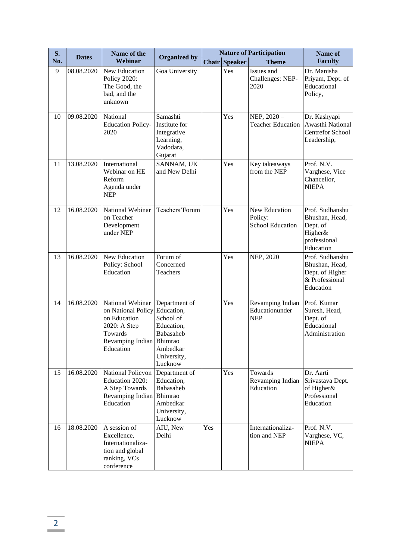| S.  |              | Name of the                                                                                                                |                                                                                                           |     |                      | <b>Nature of Participation</b>                   | Name of                                                                               |
|-----|--------------|----------------------------------------------------------------------------------------------------------------------------|-----------------------------------------------------------------------------------------------------------|-----|----------------------|--------------------------------------------------|---------------------------------------------------------------------------------------|
| No. | <b>Dates</b> | Webinar                                                                                                                    | <b>Organized by</b>                                                                                       |     | <b>Chair Speaker</b> | <b>Theme</b>                                     | <b>Faculty</b>                                                                        |
| 9   | 08.08.2020   | New Education<br><b>Policy 2020:</b><br>The Good, the<br>bad, and the<br>unknown                                           | Goa University                                                                                            |     | Yes                  | Issues and<br>Challenges: NEP-<br>2020           | Dr. Manisha<br>Priyam, Dept. of<br>Educational<br>Policy,                             |
| 10  | 09.08.2020   | National<br><b>Education Policy-</b><br>2020                                                                               | Samashti<br>Institute for<br>Integrative<br>Learning,<br>Vadodara,<br>Gujarat                             |     | Yes                  | NEP, $2020 -$<br><b>Teacher Education</b>        | Dr. Kashyapi<br>Awasthi National<br><b>Centrefor School</b><br>Leadership,            |
| 11  | 13.08.2020   | International<br>Webinar on HE<br>Reform<br>Agenda under<br><b>NEP</b>                                                     | SANNAM, UK<br>and New Delhi                                                                               |     | Yes                  | Key takeaways<br>from the NEP                    | Prof. N.V.<br>Varghese, Vice<br>Chancellor,<br><b>NIEPA</b>                           |
| 12  | 16.08.2020   | National Webinar<br>on Teacher<br>Development<br>under NEP                                                                 | Teachers' Forum                                                                                           |     | Yes                  | New Education<br>Policy:<br>School Education     | Prof. Sudhanshu<br>Bhushan, Head,<br>Dept. of<br>Higher&<br>professional<br>Education |
| 13  | 16.08.2020   | New Education<br>Policy: School<br>Education                                                                               | Forum of<br>Concerned<br>Teachers                                                                         |     | Yes                  | NEP, 2020                                        | Prof. Sudhanshu<br>Bhushan, Head,<br>Dept. of Higher<br>& Professional<br>Education   |
| 14  | 16.08.2020   | National Webinar<br>on National Policy<br>on Education<br>2020: A Step<br>Towards<br>Revamping Indian Bhimrao<br>Education | Department of<br>Education,<br>School of<br>Education,<br>Babasaheb<br>Ambedkar<br>University,<br>Lucknow |     | Yes                  | Revamping Indian<br>Educationunder<br><b>NEP</b> | Prof. Kumar<br>Suresh, Head,<br>Dept. of<br>Educational<br>Administration             |
| 15  | 16.08.2020   | National Policyon<br>Education 2020:<br>A Step Towards<br>Revamping Indian<br>Education                                    | Department of<br>Education,<br>Babasaheb<br>Bhimrao<br>Ambedkar<br>University,<br>Lucknow                 |     | Yes                  | Towards<br>Revamping Indian<br>Education         | Dr. Aarti<br>Srivastava Dept.<br>of Higher&<br>Professional<br>Education              |
| 16  | 18.08.2020   | A session of<br>Excellence,<br>Internationaliza-<br>tion and global<br>ranking, VCs<br>conference                          | AIU, New<br>Delhi                                                                                         | Yes |                      | Internationaliza-<br>tion and NEP                | Prof. N.V.<br>Varghese, VC,<br><b>NIEPA</b>                                           |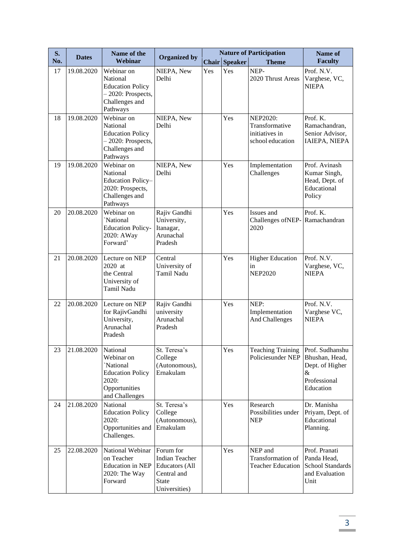| S.  | <b>Dates</b> | Name of the                                                                                                | <b>Organized by</b>                                                                                         |     |                      | <b>Nature of Participation</b>                                   | Name of                                                                                |
|-----|--------------|------------------------------------------------------------------------------------------------------------|-------------------------------------------------------------------------------------------------------------|-----|----------------------|------------------------------------------------------------------|----------------------------------------------------------------------------------------|
| No. |              | Webinar                                                                                                    |                                                                                                             |     | <b>Chair Speaker</b> | <b>Theme</b>                                                     | <b>Faculty</b>                                                                         |
| 17  | 19.08.2020   | Webinar on<br>National<br><b>Education Policy</b><br>$-2020$ : Prospects,<br>Challenges and<br>Pathways    | NIEPA, New<br>Delhi                                                                                         | Yes | Yes                  | NEP-<br>2020 Thrust Areas                                        | Prof. N.V.<br>Varghese, VC,<br><b>NIEPA</b>                                            |
| 18  | 19.08.2020   | Webinar on<br>National<br><b>Education Policy</b><br>$-2020$ : Prospects,<br>Challenges and<br>Pathways    | NIEPA, New<br>Delhi                                                                                         |     | Yes                  | NEP2020:<br>Transformative<br>initiatives in<br>school education | Prof. K.<br>Ramachandran,<br>Senior Advisor,<br>IAIEPA, NIEPA                          |
| 19  | 19.08.2020   | Webinar on<br>National<br>Education Policy-<br>2020: Prospects,<br>Challenges and<br>Pathways              | NIEPA, New<br>Delhi                                                                                         |     | Yes                  | Implementation<br>Challenges                                     | Prof. Avinash<br>Kumar Singh,<br>Head, Dept. of<br>Educational<br>Policy               |
| 20  | 20.08.2020   | Webinar on<br>'National<br><b>Education Policy-</b><br>2020: AWay<br>Forward'                              | Rajiv Gandhi<br>University,<br>Itanagar,<br>Arunachal<br>Pradesh                                            |     | Yes                  | Issues and<br>Challenges ofNEP-<br>2020                          | Prof. K.<br>Ramachandran                                                               |
| 21  | 20.08.2020   | Lecture on NEP<br>2020 at<br>the Central<br>University of<br>Tamil Nadu                                    | Central<br>University of<br>Tamil Nadu                                                                      |     | Yes                  | <b>Higher Education</b><br>in<br><b>NEP2020</b>                  | Prof. N.V.<br>Varghese, VC,<br><b>NIEPA</b>                                            |
| 22  | 20.08.2020   | Lecture on NEP<br>for RajivGandhi<br>University,<br>Arunachal<br>Pradesh                                   | Rajiv Gandhi<br>university<br>Arunachal<br>Pradesh                                                          |     | Yes                  | NEP:<br>Implementation<br>And Challenges                         | Prof. N.V.<br>Varghese VC,<br><b>NIEPA</b>                                             |
| 23  | 21.08.2020   | National<br>Webinar on<br>'National<br><b>Education Policy</b><br>2020:<br>Opportunities<br>and Challenges | St. Teresa's<br>College<br>(Autonomous),<br>Ernakulam                                                       |     | Yes                  | <b>Teaching Training</b><br>Policiesunder NEP                    | Prof. Sudhanshu<br>Bhushan, Head,<br>Dept. of Higher<br>&<br>Professional<br>Education |
| 24  | 21.08.2020   | National<br><b>Education Policy</b><br>2020:<br>Opportunities and<br>Challenges.                           | St. Teresa's<br>College<br>(Autonomous),<br>Ernakulam                                                       |     | Yes                  | Research<br>Possibilities under<br><b>NEP</b>                    | Dr. Manisha<br>Priyam, Dept. of<br>Educational<br>Planning.                            |
| 25  | 22.08.2020   | National Webinar<br>on Teacher<br><b>Education</b> in NEP<br>2020: The Way<br>Forward                      | Forum for<br><b>Indian Teacher</b><br><b>Educators</b> (All<br>Central and<br><b>State</b><br>Universities) |     | Yes                  | NEP and<br>Transformation of<br><b>Teacher Education</b>         | Prof. Pranati<br>Panda Head,<br>School Standards<br>and Evaluation<br>Unit             |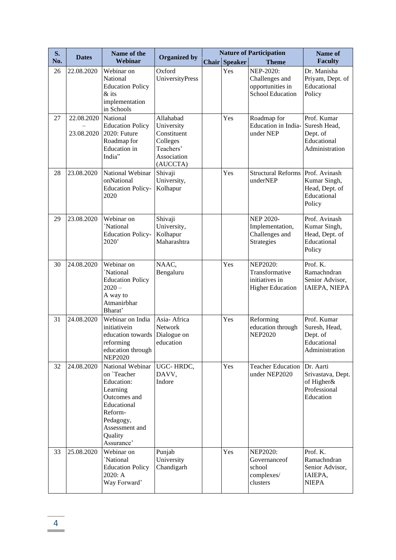| S.  | <b>Dates</b>             | Name of the                                                                                                                                                 |                                                                                            |                      | <b>Nature of Participation</b>                                                 | Name of                                                                   |
|-----|--------------------------|-------------------------------------------------------------------------------------------------------------------------------------------------------------|--------------------------------------------------------------------------------------------|----------------------|--------------------------------------------------------------------------------|---------------------------------------------------------------------------|
| No. |                          | Webinar                                                                                                                                                     | <b>Organized by</b>                                                                        | <b>Chair Speaker</b> | <b>Theme</b>                                                                   | <b>Faculty</b>                                                            |
| 26  | 22.08.2020               | Webinar on<br>National<br><b>Education Policy</b><br>$&$ its<br>implementation<br>in Schools                                                                | Oxford<br>UniversityPress                                                                  | Yes                  | NEP-2020:<br>Challenges and<br>opportunities in<br><b>School Education</b>     | Dr. Manisha<br>Priyam, Dept. of<br>Educational<br>Policy                  |
| 27  | 22.08.2020<br>23.08.2020 | National<br><b>Education Policy</b><br>2020: Future<br>Roadmap for<br><b>Education</b> in<br>India"                                                         | Allahabad<br>University<br>Constituent<br>Colleges<br>Teachers'<br>Association<br>(AUCCTA) | Yes                  | Roadmap for<br>Education in India-<br>under NEP                                | Prof. Kumar<br>Suresh Head,<br>Dept. of<br>Educational<br>Administration  |
| 28  | 23.08.2020               | National Webinar<br>onNational<br><b>Education Policy-</b><br>2020                                                                                          | Shivaji<br>University,<br>Kolhapur                                                         | Yes                  | <b>Structural Reforms</b><br>underNEP                                          | Prof. Avinash<br>Kumar Singh,<br>Head, Dept. of<br>Educational<br>Policy  |
| 29  | 23.08.2020               | Webinar on<br>'National<br><b>Education Policy-</b><br>2020'                                                                                                | Shivaji<br>University,<br>Kolhapur<br>Maharashtra                                          |                      | <b>NEP 2020-</b><br>Implementation,<br>Challenges and<br>Strategies            | Prof. Avinash<br>Kumar Singh,<br>Head, Dept. of<br>Educational<br>Policy  |
| 30  | 24.08.2020               | Webinar on<br>`National<br><b>Education Policy</b><br>$2020 -$<br>A way to<br>Atmanirbhar<br>Bharat'                                                        | NAAC,<br>Bengaluru                                                                         | Yes                  | <b>NEP2020:</b><br>Transformative<br>initiatives in<br><b>Higher Education</b> | Prof. K.<br>Ramachndran<br>Senior Advisor,<br>IAIEPA, NIEPA               |
| 31  | 24.08.2020               | Webinar on India<br>initiativein<br>education towards<br>reforming<br>education through<br><b>NEP2020</b>                                                   | Asia-Africa<br>Network<br>Dialogue on<br>education                                         | Yes                  | Reforming<br>education through<br><b>NEP2020</b>                               | Prof. Kumar<br>Suresh, Head,<br>Dept. of<br>Educational<br>Administration |
| 32  | 24.08.2020               | National Webinar<br>on `Teacher<br>Education:<br>Learning<br>Outcomes and<br>Educational<br>Reform-<br>Pedagogy,<br>Assessment and<br>Quality<br>Assurance' | UGC-HRDC,<br>DAVV,<br>Indore                                                               | Yes                  | <b>Teacher Education</b><br>under NEP2020                                      | Dr. Aarti<br>Srivastava, Dept.<br>of Higher&<br>Professional<br>Education |
| 33  | 25.08.2020               | Webinar on<br>'National<br><b>Education Policy</b><br>2020: A<br>Way Forward'                                                                               | Punjab<br>University<br>Chandigarh                                                         | Yes                  | <b>NEP2020:</b><br>Governanceof<br>school<br>complexes/<br>clusters            | Prof. K.<br>Ramachndran<br>Senior Advisor,<br>IAIEPA,<br><b>NIEPA</b>     |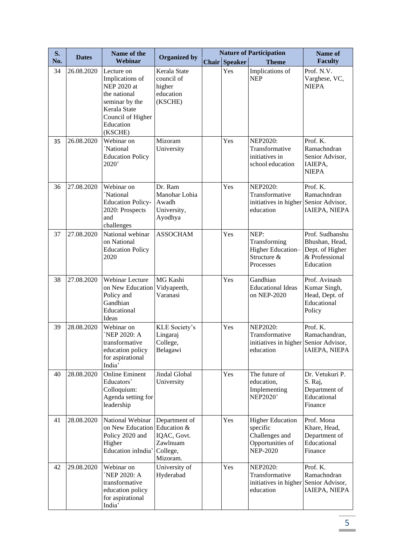| S.  | <b>Dates</b> | Name of the                                                                                                                                 | <b>Organized by</b>                                                             |                      | <b>Nature of Participation</b>                                                               | Name of                                                                             |
|-----|--------------|---------------------------------------------------------------------------------------------------------------------------------------------|---------------------------------------------------------------------------------|----------------------|----------------------------------------------------------------------------------------------|-------------------------------------------------------------------------------------|
| No. |              | Webinar                                                                                                                                     |                                                                                 | <b>Chair Speaker</b> | <b>Theme</b>                                                                                 | <b>Faculty</b>                                                                      |
| 34  | 26.08.2020   | Lecture on<br>Implications of<br>NEP 2020 at<br>the national<br>seminar by the<br>Kerala State<br>Council of Higher<br>Education<br>(KSCHE) | Kerala State<br>council of<br>higher<br>education<br>(KSCHE)                    | Yes                  | Implications of<br><b>NEP</b>                                                                | Prof. N.V.<br>Varghese, VC,<br><b>NIEPA</b>                                         |
| 35  | 26.08.2020   | Webinar on<br>`National<br><b>Education Policy</b><br>2020'                                                                                 | Mizoram<br>University                                                           | Yes                  | <b>NEP2020:</b><br>Transformative<br>initiatives in<br>school education                      | Prof. K.<br>Ramachndran<br>Senior Advisor,<br>IAIEPA,<br><b>NIEPA</b>               |
| 36  | 27.08.2020   | Webinar on<br>'National<br><b>Education Policy-</b><br>2020: Prospects<br>and<br>challenges                                                 | Dr. Ram<br>Manohar Lohia<br>Awadh<br>University,<br>Ayodhya                     | Yes                  | <b>NEP2020:</b><br>Transformative<br>initiatives in higher Senior Advisor,<br>education      | Prof. K.<br>Ramachndran<br>IAIEPA, NIEPA                                            |
| 37  | 27.08.2020   | National webinar<br>on National<br><b>Education Policy</b><br>2020                                                                          | <b>ASSOCHAM</b>                                                                 | Yes                  | NEP:<br>Transforming<br>Higher Education-<br>Structure &<br>Processes                        | Prof. Sudhanshu<br>Bhushan, Head,<br>Dept. of Higher<br>& Professional<br>Education |
| 38  | 27.08.2020   | Webinar Lecture<br>on New Education<br>Policy and<br>Gandhian<br>Educational<br>Ideas                                                       | MG Kashi<br>Vidyapeeth,<br>Varanasi                                             | Yes                  | Gandhian<br><b>Educational Ideas</b><br>on NEP-2020                                          | Prof. Avinash<br>Kumar Singh,<br>Head, Dept. of<br>Educational<br>Policy            |
| 39  | 28.08.2020   | Webinar on<br>NEP 2020: A<br>transformative<br>education policy<br>for aspirational<br>India'                                               | KLE Society's<br>Lingaraj<br>College,<br>Belagawi                               | Yes                  | <b>NEP2020:</b><br>Transformative<br>initiatives in higher Senior Advisor,<br>education      | Prof. K.<br>Ramachandran,<br>IAIEPA, NIEPA                                          |
| 40  | 28.08.2020   | <b>Online Eminent</b><br>Educators'<br>Colloquium:<br>Agenda setting for<br>leadership                                                      | Jindal Global<br>University                                                     | Yes                  | The future of<br>education,<br>Implementing<br><b>NEP2020'</b>                               | Dr. Vetukuri P.<br>S. Raj,<br>Department of<br>Educational<br>Finance               |
| 41  | 28.08.2020   | National Webinar<br>on New Education<br>Policy 2020 and<br>Higher<br>Education inIndia'                                                     | Department of<br>Education &<br>IQAC, Govt.<br>Zawlnuam<br>College,<br>Mizoram. | Yes                  | <b>Higher Education</b><br>specific<br>Challenges and<br>Opportunities of<br><b>NEP-2020</b> | Prof. Mona<br>Khare, Head,<br>Department of<br>Educational<br>Finance               |
| 42  | 29.08.2020   | Webinar on<br>`NEP 2020: A<br>transformative<br>education policy<br>for aspirational<br>India'                                              | University of<br>Hyderabad                                                      | Yes                  | <b>NEP2020:</b><br>Transformative<br>initiatives in higher<br>education                      | Prof. K.<br>Ramachndran<br>Senior Advisor,<br>IAIEPA, NIEPA                         |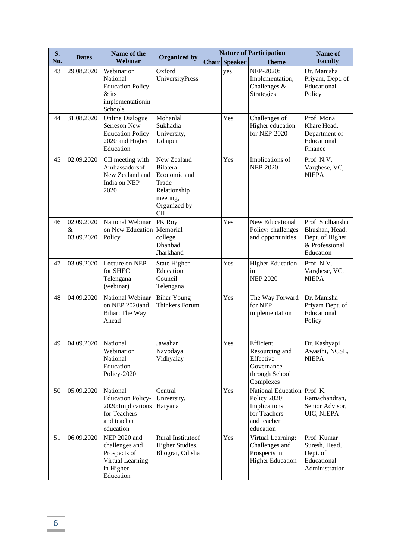| S.  | <b>Dates</b>                  | Name of the                                                                                            |                                                                                                                    |                      | <b>Nature of Participation</b>                                                                          | Name of                                                                             |
|-----|-------------------------------|--------------------------------------------------------------------------------------------------------|--------------------------------------------------------------------------------------------------------------------|----------------------|---------------------------------------------------------------------------------------------------------|-------------------------------------------------------------------------------------|
| No. |                               | Webinar                                                                                                | <b>Organized by</b>                                                                                                | <b>Chair Speaker</b> | <b>Theme</b>                                                                                            | <b>Faculty</b>                                                                      |
| 43  | 29.08.2020                    | Webinar on<br>National<br><b>Education Policy</b><br>$&$ its<br>implementationin<br>Schools            | Oxford<br><b>UniversityPress</b>                                                                                   | yes                  | NEP-2020:<br>Implementation,<br>Challenges &<br>Strategies                                              | Dr. Manisha<br>Priyam, Dept. of<br>Educational<br>Policy                            |
| 44  | 31.08.2020                    | <b>Online Dialogue</b><br>Serieson New<br><b>Education Policy</b><br>2020 and Higher<br>Education      | Mohanlal<br>Sukhadia<br>University,<br>Udaipur                                                                     | Yes                  | Challenges of<br>Higher education<br>for NEP-2020                                                       | Prof. Mona<br>Khare Head,<br>Department of<br>Educational<br>Finance                |
| 45  | 02.09.2020                    | CII meeting with<br>Ambassadorsof<br>New Zealand and<br>India on NEP<br>2020                           | New Zealand<br><b>Bilateral</b><br>Economic and<br>Trade<br>Relationship<br>meeting,<br>Organized by<br><b>CII</b> | Yes                  | Implications of<br><b>NEP-2020</b>                                                                      | Prof. N.V.<br>Varghese, VC,<br><b>NIEPA</b>                                         |
| 46  | 02.09.2020<br>&<br>03.09.2020 | National Webinar<br>on New Education<br>Policy                                                         | PK Roy<br>Memorial<br>college<br><b>Dhanbad</b><br>Jharkhand                                                       | Yes                  | New Educational<br>Policy: challenges<br>and opportunities                                              | Prof. Sudhanshu<br>Bhushan, Head,<br>Dept. of Higher<br>& Professional<br>Education |
| 47  | 03.09.2020                    | Lecture on NEP<br>for SHEC<br>Telengana<br>(webinar)                                                   | State Higher<br>Education<br>Council<br>Telengana                                                                  | Yes                  | <b>Higher Education</b><br>in<br><b>NEP 2020</b>                                                        | Prof. N.V.<br>Varghese, VC,<br><b>NIEPA</b>                                         |
| 48  | 04.09.2020                    | National Webinar<br>on NEP 2020and<br>Bihar: The Way<br>Ahead                                          | <b>Bihar Young</b><br><b>Thinkers Forum</b>                                                                        | Yes                  | The Way Forward<br>for NEP<br>implementation                                                            | Dr. Manisha<br>Priyam Dept. of<br>Educational<br>Policy                             |
| 49  | 04.09.2020                    | National<br>Webinar on<br>National<br>Education<br>Policy-2020                                         | Jawahar<br>Navodaya<br>Vidhyalay                                                                                   | Yes                  | Efficient<br>Resourcing and<br>Effective<br>Governance<br>through School<br>Complexes                   | Dr. Kashyapi<br>Awasthi, NCSL,<br><b>NIEPA</b>                                      |
| 50  | 05.09.2020                    | National<br><b>Education Policy-</b><br>2020: Implications<br>for Teachers<br>and teacher<br>education | Central<br>University,<br>Haryana                                                                                  | Yes                  | National Education Prof. K.<br>Policy 2020:<br>Implications<br>for Teachers<br>and teacher<br>education | Ramachandran,<br>Senior Advisor,<br>UIC, NIEPA                                      |
| 51  | 06.09.2020                    | NEP 2020 and<br>challenges and<br>Prospects of<br>Virtual Learning<br>in Higher<br>Education           | Rural Instituteof<br>Higher Studies,<br>Bhograi, Odisha                                                            | Yes                  | Virtual Learning:<br>Challenges and<br>Prospects in<br><b>Higher Education</b>                          | Prof. Kumar<br>Suresh, Head,<br>Dept. of<br>Educational<br>Administration           |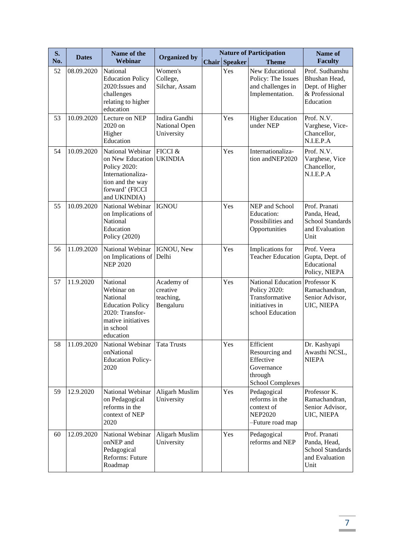| S.  | <b>Dates</b> | Name of the                                                                                                                      | <b>Organized by</b>                              |                      | <b>Nature of Participation</b>                                                                         | Name of                                                                            |
|-----|--------------|----------------------------------------------------------------------------------------------------------------------------------|--------------------------------------------------|----------------------|--------------------------------------------------------------------------------------------------------|------------------------------------------------------------------------------------|
| No. |              | Webinar                                                                                                                          |                                                  | <b>Chair Speaker</b> | <b>Theme</b>                                                                                           | <b>Faculty</b>                                                                     |
| 52  | 08.09.2020   | National<br><b>Education Policy</b><br>2020: Issues and<br>challenges<br>relating to higher<br>education                         | Women's<br>College,<br>Silchar, Assam            | Yes                  | New Educational<br>Policy: The Issues<br>and challenges in<br>Implementation.                          | Prof. Sudhanshu<br>Bhushan Head,<br>Dept. of Higher<br>& Professional<br>Education |
| 53  | 10.09.2020   | Lecture on NEP<br>2020 on<br>Higher<br>Education                                                                                 | Indira Gandhi<br>National Open<br>University     | Yes                  | <b>Higher Education</b><br>under NEP                                                                   | Prof. N.V.<br>Varghese, Vice-<br>Chancellor,<br>N.I.E.P.A                          |
| 54  | 10.09.2020   | National Webinar<br>on New Education<br>Policy 2020:<br>Internationaliza-<br>tion and the way<br>forward' (FICCI<br>and UKINDIA) | FICCI &<br><b>UKINDIA</b>                        | Yes                  | Internationaliza-<br>tion andNEP2020                                                                   | Prof. N.V.<br>Varghese, Vice<br>Chancellor,<br>N.I.E.P.A                           |
| 55  | 10.09.2020   | National Webinar<br>on Implications of<br>National<br>Education<br>Policy (2020)                                                 | <b>IGNOU</b>                                     | Yes                  | NEP and School<br>Education:<br>Possibilities and<br>Opportunities                                     | Prof. Pranati<br>Panda, Head,<br><b>School Standards</b><br>and Evaluation<br>Unit |
| 56  | 11.09.2020   | National Webinar<br>on Implications of<br><b>NEP 2020</b>                                                                        | IGNOU, New<br>Delhi                              | Yes                  | Implications for<br><b>Teacher Education</b>                                                           | Prof. Veera<br>Gupta, Dept. of<br>Educational<br>Policy, NIEPA                     |
| 57  | 11.9.2020    | National<br>Webinar on<br>National<br><b>Education Policy</b><br>2020: Transfor-<br>mative initiatives<br>in school<br>education | Academy of<br>creative<br>teaching,<br>Bengaluru | Yes                  | National Education Professor K<br>Policy 2020:<br>Transformative<br>initiatives in<br>school Education | Ramachandran,<br>Senior Advisor,<br>UIC, NIEPA                                     |
| 58  | 11.09.2020   | National Webinar Tata Trusts<br>onNational<br><b>Education Policy-</b><br>2020                                                   |                                                  | Yes                  | Efficient<br>Resourcing and<br>Effective<br>Governance<br>through<br><b>School Complexes</b>           | Dr. Kashyapi<br>Awasthi NCSL,<br><b>NIEPA</b>                                      |
| 59  | 12.9.2020    | National Webinar<br>on Pedagogical<br>reforms in the<br>context of NEP<br>2020                                                   | Aligarh Muslim<br>University                     | Yes                  | Pedagogical<br>reforms in the<br>context of<br><b>NEP2020</b><br>-Future road map                      | Professor K.<br>Ramachandran,<br>Senior Advisor,<br>UIC, NIEPA                     |
| 60  | 12.09.2020   | National Webinar<br>onNEP and<br>Pedagogical<br>Reforms: Future<br>Roadmap                                                       | Aligarh Muslim<br>University                     | Yes                  | Pedagogical<br>reforms and NEP                                                                         | Prof. Pranati<br>Panda, Head,<br><b>School Standards</b><br>and Evaluation<br>Unit |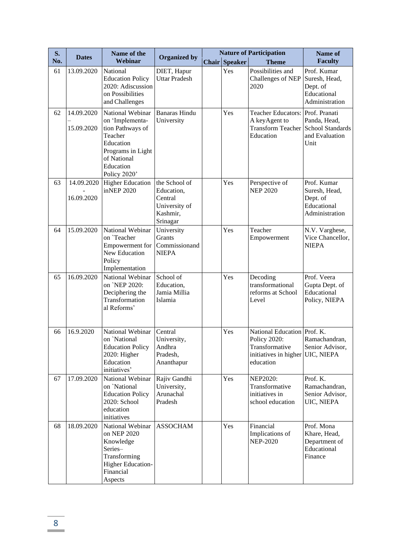| S.  | <b>Dates</b>             | Name of the                                                                                                                                      |                                                                                 |                      | <b>Nature of Participation</b>                                                                      | Name of                                                                            |
|-----|--------------------------|--------------------------------------------------------------------------------------------------------------------------------------------------|---------------------------------------------------------------------------------|----------------------|-----------------------------------------------------------------------------------------------------|------------------------------------------------------------------------------------|
| No. |                          | Webinar                                                                                                                                          | <b>Organized by</b>                                                             | <b>Chair Speaker</b> | <b>Theme</b>                                                                                        | <b>Faculty</b>                                                                     |
| 61  | 13.09.2020               | National<br><b>Education Policy</b><br>2020: Adiscussion<br>on Possibilities<br>and Challenges                                                   | DIET, Hapur<br><b>Uttar Pradesh</b>                                             | Yes                  | Possibilities and<br>Challenges of NEP<br>2020                                                      | Prof. Kumar<br>Suresh, Head,<br>Dept. of<br>Educational<br>Administration          |
| 62  | 14.09.2020<br>15.09.2020 | National Webinar<br>on 'Implementa-<br>tion Pathways of<br>Teacher<br>Education<br>Programs in Light<br>of National<br>Education<br>Policy 2020' | <b>Banaras Hindu</b><br>University                                              | Yes                  | <b>Teacher Educators:</b><br>A keyAgent to<br><b>Transform Teacher</b><br>Education                 | Prof. Pranati<br>Panda, Head,<br><b>School Standards</b><br>and Evaluation<br>Unit |
| 63  | 14.09.2020<br>16.09.2020 | <b>Higher Education</b><br>inNEP 2020                                                                                                            | the School of<br>Education,<br>Central<br>University of<br>Kashmir,<br>Srinagar | Yes                  | Perspective of<br><b>NEP 2020</b>                                                                   | Prof. Kumar<br>Suresh, Head,<br>Dept. of<br>Educational<br>Administration          |
| 64  | 15.09.2020               | National Webinar<br>on `Teacher<br>Empowerment for<br>New Education<br>Policy<br>Implementation                                                  | University<br>Grants<br>Commissionand<br><b>NIEPA</b>                           | Yes                  | Teacher<br>Empowerment                                                                              | N.V. Varghese,<br>Vice Chancellor,<br><b>NIEPA</b>                                 |
| 65  | 16.09.2020               | National Webinar<br>on `NEP 2020:<br>Deciphering the<br>Transformation<br>al Reforms'                                                            | School of<br>Education,<br>Jamia Millia<br>Islamia                              | Yes                  | Decoding<br>transformational<br>reforms at School<br>Level                                          | Prof. Veera<br>Gupta Dept. of<br>Educational<br>Policy, NIEPA                      |
| 66  | 16.9.2020                | National Webinar<br>on `National<br><b>Education Policy</b><br>2020: Higher<br>Education<br>initiatives'                                         | Central<br>University,<br>Andhra<br>Pradesh,<br>Ananthapur                      | Yes                  | National Education Prof. K.<br>Policy 2020:<br>Transformative<br>initiatives in higher<br>education | Ramachandran,<br>Senior Advisor,<br>UIC, NIEPA                                     |
| 67  | 17.09.2020               | National Webinar<br>on `National<br><b>Education Policy</b><br>2020: School<br>education<br>initiatives                                          | Rajiv Gandhi<br>University,<br>Arunachal<br>Pradesh                             | Yes                  | <b>NEP2020:</b><br>Transformative<br>initiatives in<br>school education                             | Prof. K.<br>Ramachandran,<br>Senior Advisor,<br>UIC, NIEPA                         |
| 68  | 18.09.2020               | National Webinar<br>on NEP 2020<br>Knowledge<br>Series-<br>Transforming<br>Higher Education-<br>Financial<br>Aspects                             | <b>ASSOCHAM</b>                                                                 | Yes                  | Financial<br>Implications of<br><b>NEP-2020</b>                                                     | Prof. Mona<br>Khare, Head,<br>Department of<br>Educational<br>Finance              |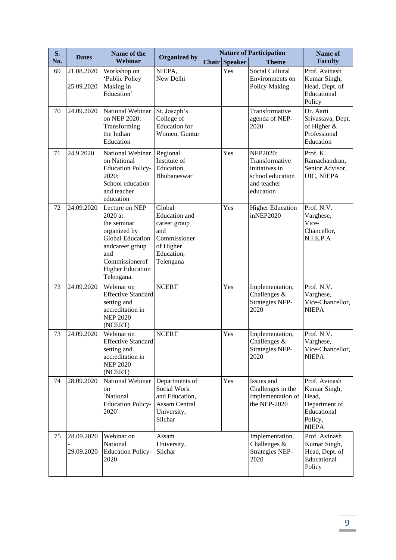| S.  | <b>Dates</b>             | Name of the                                                                                                                                                              |                                                                                                               |                      | <b>Nature of Participation</b>                                                                      | Name of                                                                                           |
|-----|--------------------------|--------------------------------------------------------------------------------------------------------------------------------------------------------------------------|---------------------------------------------------------------------------------------------------------------|----------------------|-----------------------------------------------------------------------------------------------------|---------------------------------------------------------------------------------------------------|
| No. |                          | Webinar                                                                                                                                                                  | <b>Organized by</b>                                                                                           | <b>Chair Speaker</b> | <b>Theme</b>                                                                                        | <b>Faculty</b>                                                                                    |
| 69  | 21.08.2020<br>25.09.2020 | Workshop on<br>'Public Policy<br>Making in<br>Education'                                                                                                                 | NIEPA,<br>New Delhi                                                                                           | Yes                  | Social Cultural<br>Environments on<br>Policy Making                                                 | Prof. Avinash<br>Kumar Singh,<br>Head, Dept. of<br>Educational<br>Policy                          |
| 70  | 24.09.2020               | National Webinar<br>on NEP 2020:<br>Transforming<br>the Indian<br>Education                                                                                              | St. Joseph's<br>College of<br><b>Education</b> for<br>Women, Guntur                                           |                      | Transformative<br>agenda of NEP-<br>2020                                                            | Dr. Aarti<br>Srivastava, Dept.<br>of Higher $&$<br>Professional<br>Education                      |
| 71  | 24.9.2020                | National Webinar<br>on National<br><b>Education Policy-</b><br>2020:<br>School education<br>and teacher<br>education                                                     | Regional<br>Institute of<br>Education,<br>Bhubaneswar                                                         | Yes                  | <b>NEP2020:</b><br>Transformative<br>initiatives in<br>school education<br>and teacher<br>education | Prof. K.<br>Ramachandran,<br>Senior Advisor,<br>UIC, NIEPA                                        |
| 72  | 24.09.2020               | Lecture on NEP<br>2020 at<br>the seminar<br>organized by<br><b>Global Education</b><br>andcareer group<br>and<br>Commissionerof<br><b>Higher Education</b><br>Telengana. | Global<br><b>Education</b> and<br>career group<br>and<br>Commissioner<br>of Higher<br>Education,<br>Telengana | Yes                  | <b>Higher Education</b><br>inNEP2020                                                                | Prof. N.V.<br>Varghese,<br>Vice-<br>Chancellor,<br>N.I.E.P.A                                      |
| 73  | 24.09.2020               | Webinar on<br><b>Effective Standard</b><br>setting and<br>accreditation in<br><b>NEP 2020</b><br>(NCERT)                                                                 | <b>NCERT</b>                                                                                                  | Yes                  | Implementation,<br>Challenges &<br><b>Strategies NEP-</b><br>2020                                   | Prof. N.V.<br>Varghese,<br>Vice-Chancellor,<br><b>NIEPA</b>                                       |
| 73  | 24.09.2020               | Webinar on<br><b>Effective Standard</b><br>setting and<br>accreditation in<br><b>NEP 2020</b><br>(NCERT)                                                                 | <b>NCERT</b>                                                                                                  | Yes                  | Implementation,<br>Challenges &<br><b>Strategies NEP-</b><br>2020                                   | Prof. N.V.<br>Varghese,<br>Vice-Chancellor,<br><b>NIEPA</b>                                       |
| 74  | 28.09.2020               | National Webinar<br>on<br>'National<br><b>Education Policy-</b><br>2020'                                                                                                 | Departments of<br>Social Work<br>and Education,<br><b>Assam Central</b><br>University,<br>Silchar             | Yes                  | Issues and<br>Challenges in the<br>Implementation of<br>the NEP-2020                                | Prof. Avinash<br>Kumar Singh,<br>Head,<br>Department of<br>Educational<br>Policy,<br><b>NIEPA</b> |
| 75  | 28.09.2020<br>29.09.2020 | Webinar on<br>National<br><b>Education Policy-</b><br>2020                                                                                                               | Assam<br>University,<br>Silchar                                                                               |                      | Implementation,<br>Challenges &<br><b>Strategies NEP-</b><br>2020                                   | Prof. Avinash<br>Kumar Singh,<br>Head, Dept. of<br>Educational<br>Policy                          |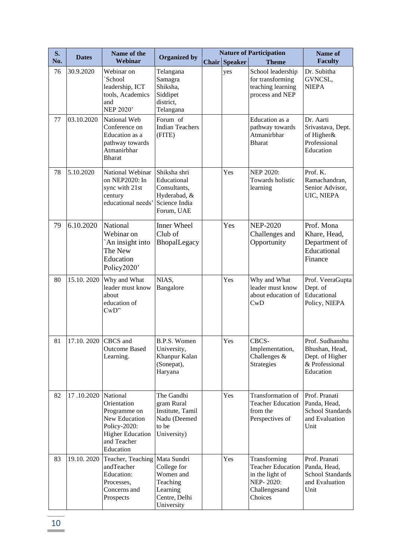| S.  | <b>Dates</b> | Name of the                                                                                                                            | <b>Organized by</b>                                                                        |                      | <b>Nature of Participation</b>                                                                       | Name of                                                                             |
|-----|--------------|----------------------------------------------------------------------------------------------------------------------------------------|--------------------------------------------------------------------------------------------|----------------------|------------------------------------------------------------------------------------------------------|-------------------------------------------------------------------------------------|
| No. |              | Webinar                                                                                                                                |                                                                                            | <b>Chair Speaker</b> | <b>Theme</b>                                                                                         | <b>Faculty</b>                                                                      |
| 76  | 30.9.2020    | Webinar on<br>School<br>leadership, ICT<br>tools, Academics<br>and<br>NEP 2020'                                                        | Telangana<br>Samagra<br>Shiksha,<br>Siddipet<br>district,<br>Telangana                     | yes                  | School leadership<br>for transforming<br>teaching learning<br>process and NEP                        | Dr. Subitha<br>GVNCSL,<br><b>NIEPA</b>                                              |
| 77  | 03.10.2020   | National Web<br>Conference on<br>Education as a<br>pathway towards<br>Atmanirbhar<br><b>Bharat</b>                                     | Forum of<br><b>Indian Teachers</b><br>(FITE)                                               |                      | Education as a<br>pathway towards<br>Atmanirbhar<br><b>Bharat</b>                                    | Dr. Aarti<br>Srivastava, Dept.<br>of Higher&<br>Professional<br>Education           |
| 78  | 5.10.2020    | National Webinar<br>on NEP2020: In<br>sync with 21st<br>century<br>educational needs'                                                  | Shiksha shri<br>Educational<br>Consultants,<br>Hyderabad, &<br>Science India<br>Forum, UAE | Yes                  | <b>NEP 2020:</b><br>Towards holistic<br>learning                                                     | Prof. K.<br>Ramachandran,<br>Senior Advisor,<br>UIC, NIEPA                          |
| 79  | 6.10.2020    | National<br>Webinar on<br>An insight into<br>The New<br>Education<br>Policy2020'                                                       | <b>Inner Wheel</b><br>Club of<br>BhopalLegacy                                              | Yes                  | <b>NEP-2020</b><br>Challenges and<br>Opportunity                                                     | Prof. Mona<br>Khare, Head,<br>Department of<br>Educational<br>Finance               |
| 80  | 15.10.2020   | Why and What<br>leader must know<br>about<br>education of<br>CwD"                                                                      | NIAS,<br>Bangalore                                                                         | Yes                  | Why and What<br>leader must know<br>about education of<br>CwD                                        | Prof. VeeraGupta<br>Dept. of<br>Educational<br>Policy, NIEPA                        |
| 81  | 17.10.2020   | CBCS and<br><b>Outcome Based</b><br>Learning.                                                                                          | B.P.S. Women<br>University,<br>Khanpur Kalan<br>(Sonepat),<br>Haryana                      | Yes                  | CBCS-<br>Implementation,<br>Challenges &<br>Strategies                                               | Prof. Sudhanshu<br>Bhushan, Head,<br>Dept. of Higher<br>& Professional<br>Education |
| 82  | 17.10.2020   | National<br>Orientation<br>Programme on<br><b>New Education</b><br>Policy-2020:<br><b>Higher Education</b><br>and Teacher<br>Education | The Gandhi<br>gram Rural<br>Institute, Tamil<br>Nadu (Deemed<br>to be<br>University)       | Yes                  | Transformation of<br><b>Teacher Education</b><br>from the<br>Perspectives of                         | Prof. Pranati<br>Panda, Head,<br><b>School Standards</b><br>and Evaluation<br>Unit  |
| 83  | 19.10.2020   | Teacher, Teaching   Mata Sundri<br>andTeacher<br>Education:<br>Processes,<br>Concerns and<br>Prospects                                 | College for<br>Women and<br>Teaching<br>Learning<br>Centre, Delhi<br>University            | Yes                  | Transforming<br><b>Teacher Education</b><br>in the light of<br>NEP-2020:<br>Challengesand<br>Choices | Prof. Pranati<br>Panda, Head,<br><b>School Standards</b><br>and Evaluation<br>Unit  |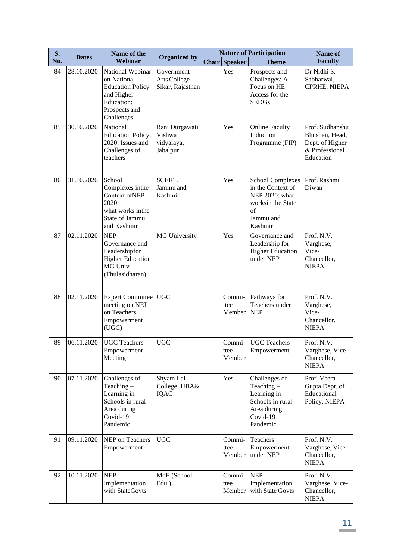| S.  | <b>Dates</b> | Name of the                                                                                                           |                                                    |                          | <b>Nature of Participation</b>                                                                                    | Name of                                                                             |
|-----|--------------|-----------------------------------------------------------------------------------------------------------------------|----------------------------------------------------|--------------------------|-------------------------------------------------------------------------------------------------------------------|-------------------------------------------------------------------------------------|
| No. |              | Webinar                                                                                                               | <b>Organized by</b>                                | Chair Speaker            | <b>Theme</b>                                                                                                      | <b>Faculty</b>                                                                      |
| 84  | 28.10.2020   | National Webinar<br>on National<br><b>Education Policy</b><br>and Higher<br>Education:<br>Prospects and<br>Challenges | Government<br>Arts College<br>Sikar, Rajasthan     | Yes                      | Prospects and<br>Challenges: A<br>Focus on HE<br>Access for the<br><b>SEDGs</b>                                   | Dr Nidhi S.<br>Sabharwal,<br>CPRHE, NIEPA                                           |
| 85  | 30.10.2020   | National<br>Education Policy,<br>2020: Issues and<br>Challenges of<br>teachers                                        | Rani Durgawati<br>Vishwa<br>vidyalaya,<br>Jabalpur | Yes                      | <b>Online Faculty</b><br>Induction<br>Programme (FIP)                                                             | Prof. Sudhanshu<br>Bhushan, Head,<br>Dept. of Higher<br>& Professional<br>Education |
| 86  | 31.10.2020   | School<br>Complexes inthe<br>Context ofNEP<br>2020:<br>what works inthe<br>State of Jammu<br>and Kashmir              | SCERT,<br>Jammu and<br>Kashmir                     | Yes                      | <b>School Complexes</b><br>in the Context of<br>NEP 2020: what<br>worksin the State<br>of<br>Jammu and<br>Kashmir | Prof. Rashmi<br>Diwan                                                               |
| 87  | 02.11.2020   | <b>NEP</b><br>Governance and<br>Leadershipfor<br><b>Higher Education</b><br>MG Univ.<br>(Thulasidharan)               | <b>MG University</b>                               | Yes                      | Governance and<br>Leadership for<br><b>Higher Education</b><br>under NEP                                          | Prof. N.V.<br>Varghese,<br>Vice-<br>Chancellor,<br><b>NIEPA</b>                     |
| 88  | 02.11.2020   | <b>Expert Committee</b><br>meeting on NEP<br>on Teachers<br>Empowerment<br>(UGC)                                      | <b>UGC</b>                                         | Commi-<br>ttee<br>Member | Pathways for<br>Teachers under<br><b>NEP</b>                                                                      | Prof. N.V.<br>Varghese,<br>Vice-<br>Chancellor,<br><b>NIEPA</b>                     |
| 89  | 06.11.2020   | <b>UGC</b> Teachers<br>Empowerment<br>Meeting                                                                         | <b>UGC</b>                                         | Commi-<br>ttee<br>Member | <b>UGC</b> Teachers<br>Empowerment                                                                                | Prof. N.V.<br>Varghese, Vice-<br>Chancellor,<br><b>NIEPA</b>                        |
| 90  | 07.11.2020   | Challenges of<br>Teaching $-$<br>Learning in<br>Schools in rural<br>Area during<br>Covid-19<br>Pandemic               | Shyam Lal<br>College, UBA&<br>IQAC                 | Yes                      | Challenges of<br>Teaching $-$<br>Learning in<br>Schools in rural<br>Area during<br>Covid-19<br>Pandemic           | Prof. Veera<br>Gupta Dept. of<br>Educational<br>Policy, NIEPA                       |
| 91  | 09.11.2020   | NEP on Teachers<br>Empowerment                                                                                        | <b>UGC</b>                                         | Commi-<br>ttee<br>Member | Teachers<br>Empowerment<br>under NEP                                                                              | Prof. N.V.<br>Varghese, Vice-<br>Chancellor,<br><b>NIEPA</b>                        |
| 92  | 10.11.2020   | NEP-<br>Implementation<br>with StateGovts                                                                             | MoE (School<br>Edu.)                               | Commi-<br>ttee<br>Member | NEP-<br>Implementation<br>with State Govts                                                                        | Prof. N.V.<br>Varghese, Vice-<br>Chancellor,<br><b>NIEPA</b>                        |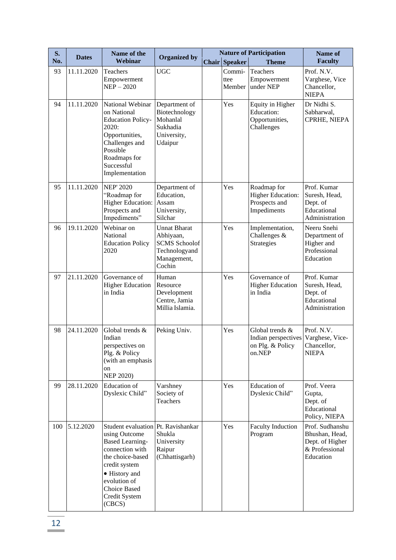| S.  | <b>Dates</b> | Name of the                                                                                                                                                                                                       | <b>Organized by</b>                                                                                |                          | <b>Nature of Participation</b>                                          | Name of                                                                             |
|-----|--------------|-------------------------------------------------------------------------------------------------------------------------------------------------------------------------------------------------------------------|----------------------------------------------------------------------------------------------------|--------------------------|-------------------------------------------------------------------------|-------------------------------------------------------------------------------------|
| No. |              | Webinar                                                                                                                                                                                                           |                                                                                                    | <b>Chair Speaker</b>     | <b>Theme</b>                                                            | <b>Faculty</b>                                                                      |
| 93  | 11.11.2020   | Teachers<br>Empowerment<br>$NEP - 2020$                                                                                                                                                                           | <b>UGC</b>                                                                                         | Commi-<br>ttee<br>Member | Teachers<br>Empowerment<br>under NEP                                    | Prof. N.V.<br>Varghese, Vice<br>Chancellor,<br><b>NIEPA</b>                         |
| 94  | 11.11.2020   | National Webinar<br>on National<br><b>Education Policy-</b><br>2020:<br>Opportunities,<br>Challenges and<br>Possible<br>Roadmaps for<br>Successful<br>Implementation                                              | Department of<br>Biotechnology<br>Mohanlal<br>Sukhadia<br>University,<br>Udaipur                   | Yes                      | Equity in Higher<br>Education:<br>Opportunities,<br>Challenges          | Dr Nidhi S.<br>Sabharwal,<br>CPRHE, NIEPA                                           |
| 95  | 11.11.2020   | <b>NEP' 2020</b><br>"Roadmap for<br><b>Higher Education:</b><br>Prospects and<br>Impediments"                                                                                                                     | Department of<br>Education,<br>Assam<br>University,<br>Silchar                                     | Yes                      | Roadmap for<br><b>Higher Education:</b><br>Prospects and<br>Impediments | Prof. Kumar<br>Suresh, Head,<br>Dept. of<br>Educational<br>Administration           |
| 96  | 19.11.2020   | Webinar on<br>National<br><b>Education Policy</b><br>2020                                                                                                                                                         | <b>Unnat Bharat</b><br>Abhiyaan,<br><b>SCMS</b> Schoolof<br>Technologyand<br>Management,<br>Cochin | Yes                      | Implementation,<br>Challenges $&$<br>Strategies                         | Neeru Snehi<br>Department of<br>Higher and<br>Professional<br>Education             |
| 97  | 21.11.2020   | Governance of<br><b>Higher Education</b><br>in India                                                                                                                                                              | Human<br>Resource<br>Development<br>Centre, Jamia<br>Millia Islamia.                               | Yes                      | Governance of<br><b>Higher Education</b><br>in India                    | Prof. Kumar<br>Suresh, Head,<br>Dept. of<br>Educational<br>Administration           |
| 98  | 24.11.2020   | Global trends &<br>Indian<br>perspectives on<br>Plg. & Policy<br>(with an emphasis<br>on<br><b>NEP 2020)</b>                                                                                                      | Peking Univ.                                                                                       | Yes                      | Global trends &<br>Indian perspectives<br>on Plg. & Policy<br>on.NEP    | Prof. N.V.<br>Varghese, Vice-<br>Chancellor,<br><b>NIEPA</b>                        |
| 99  | 28.11.2020   | <b>Education</b> of<br>Dyslexic Child"                                                                                                                                                                            | Varshney<br>Society of<br>Teachers                                                                 | Yes                      | <b>Education</b> of<br>Dyslexic Child"                                  | Prof. Veera<br>Gupta,<br>Dept. of<br>Educational<br>Policy, NIEPA                   |
| 100 | 5.12.2020    | Student evaluation Pt. Ravishankar<br>using Outcome<br><b>Based Learning-</b><br>connection with<br>the choice-based<br>credit system<br>• History and<br>evolution of<br>Choice Based<br>Credit System<br>(CBCS) | Shukla<br>University<br>Raipur<br>(Chhattisgarh)                                                   | Yes                      | <b>Faculty Induction</b><br>Program                                     | Prof. Sudhanshu<br>Bhushan, Head,<br>Dept. of Higher<br>& Professional<br>Education |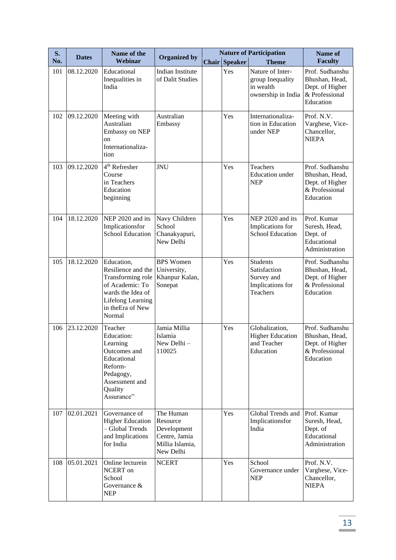| S.  | <b>Dates</b> | Name of the                                                                                                                                              | <b>Organized by</b>                                                                   |       | <b>Nature of Participation</b> |                                                                               | Name of                                                                             |
|-----|--------------|----------------------------------------------------------------------------------------------------------------------------------------------------------|---------------------------------------------------------------------------------------|-------|--------------------------------|-------------------------------------------------------------------------------|-------------------------------------------------------------------------------------|
| No. |              | Webinar                                                                                                                                                  |                                                                                       | Chair | <b>Speaker</b>                 | <b>Theme</b>                                                                  | <b>Faculty</b>                                                                      |
| 101 | 08.12.2020   | Educational<br>Inequalities in<br>India                                                                                                                  | <b>Indian Institute</b><br>of Dalit Studies                                           |       | <b>Yes</b>                     | Nature of Inter-<br>group Inequality<br>in wealth<br>ownership in India       | Prof. Sudhanshu<br>Bhushan, Head,<br>Dept. of Higher<br>& Professional<br>Education |
| 102 | 09.12.2020   | Meeting with<br>Australian<br>Embassy on NEP<br>on<br>Internationaliza-<br>tion                                                                          | Australian<br>Embassy                                                                 |       | Yes                            | Internationaliza-<br>tion in Education<br>under NEP                           | Prof. N.V.<br>Varghese, Vice-<br>Chancellor,<br><b>NIEPA</b>                        |
| 103 | 09.12.2020   | 4 <sup>th</sup> Refresher<br>Course<br>in Teachers<br>Education<br>beginning                                                                             | <b>JNU</b>                                                                            |       | Yes                            | Teachers<br><b>Education</b> under<br><b>NEP</b>                              | Prof. Sudhanshu<br>Bhushan, Head,<br>Dept. of Higher<br>& Professional<br>Education |
| 104 | 18.12.2020   | NEP 2020 and its<br>Implicationsfor<br><b>School Education</b>                                                                                           | Navy Children<br>School<br>Chanakyapuri,<br>New Delhi                                 |       | Yes                            | NEP 2020 and its<br>Implications for<br><b>School Education</b>               | Prof. Kumar<br>Suresh, Head,<br>Dept. of<br>Educational<br>Administration           |
| 105 | 18.12.2020   | Education,<br>Resilience and the<br>Transforming role<br>of Academic: To<br>wards the Idea of<br><b>Lifelong Learning</b><br>in the Era of New<br>Normal | <b>BPS</b> Women<br>University,<br>Khanpur Kalan,<br>Sonepat                          |       | Yes                            | <b>Students</b><br>Satisfaction<br>Survey and<br>Implications for<br>Teachers | Prof. Sudhanshu<br>Bhushan, Head,<br>Dept. of Higher<br>& Professional<br>Education |
| 106 | 23.12.2020   | Teacher<br><b>Education:</b><br>Learning<br>Outcomes and<br>Educational<br>Reform-<br>Pedagogy,<br>Assessment and<br>Quality<br>Assurance"               | Jamia Millia<br>Islamia<br>New Delhi-<br>110025                                       |       | Yes                            | Globalization,<br><b>Higher Education</b><br>and Teacher<br>Education         | Prof. Sudhanshu<br>Bhushan, Head,<br>Dept. of Higher<br>& Professional<br>Education |
| 107 | 02.01.2021   | Governance of<br><b>Higher Education</b><br>- Global Trends<br>and Implications<br>for India                                                             | The Human<br>Resource<br>Development<br>Centre, Jamia<br>Millia Islamia,<br>New Delhi |       | Yes                            | Global Trends and<br>Implicationsfor<br>India                                 | Prof. Kumar<br>Suresh, Head,<br>Dept. of<br>Educational<br>Administration           |
| 108 | 05.01.2021   | Online lecturein<br>NCERT on<br>School<br>Governance &<br><b>NEP</b>                                                                                     | <b>NCERT</b>                                                                          |       | Yes                            | School<br>Governance under<br><b>NEP</b>                                      | Prof. N.V.<br>Varghese, Vice-<br>Chancellor,<br><b>NIEPA</b>                        |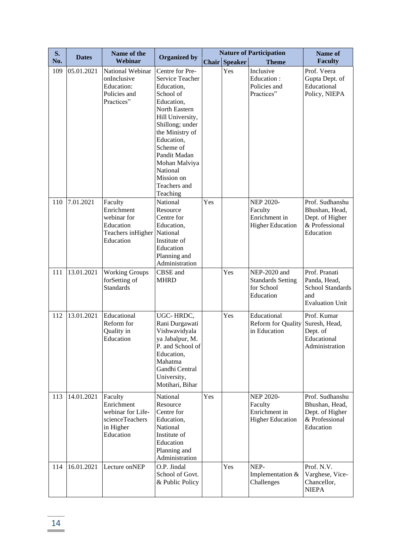| S.  |              | Name of the                                                                             |                                                                                                                                                                                                                                                                          |     |               | <b>Nature of Participation</b>                                          | Name of                                                                                   |
|-----|--------------|-----------------------------------------------------------------------------------------|--------------------------------------------------------------------------------------------------------------------------------------------------------------------------------------------------------------------------------------------------------------------------|-----|---------------|-------------------------------------------------------------------------|-------------------------------------------------------------------------------------------|
| No. | <b>Dates</b> | Webinar                                                                                 | <b>Organized by</b>                                                                                                                                                                                                                                                      |     | Chair Speaker | <b>Theme</b>                                                            | <b>Faculty</b>                                                                            |
| 109 | 05.01.2021   | National Webinar<br>onInclusive<br><b>Education:</b><br>Policies and<br>Practices"      | Centre for Pre-<br>Service Teacher<br>Education,<br>School of<br>Education,<br>North Eastern<br>Hill University,<br>Shillong; under<br>the Ministry of<br>Education,<br>Scheme of<br>Pandit Madan<br>Mohan Malviya<br>National<br>Mission on<br>Teachers and<br>Teaching |     | Yes           | Inclusive<br>Education:<br>Policies and<br>Practices"                   | Prof. Veera<br>Gupta Dept. of<br>Educational<br>Policy, NIEPA                             |
| 110 | 7.01.2021    | Faculty<br>Enrichment<br>webinar for<br>Education<br>Teachers in Higher<br>Education    | National<br>Resource<br>Centre for<br>Education,<br>National<br>Institute of<br>Education<br>Planning and<br>Administration                                                                                                                                              | Yes |               | <b>NEP 2020-</b><br>Faculty<br>Enrichment in<br><b>Higher Education</b> | Prof. Sudhanshu<br>Bhushan, Head,<br>Dept. of Higher<br>& Professional<br>Education       |
| 111 | 13.01.2021   | <b>Working Groups</b><br>forSetting of<br><b>Standards</b>                              | CBSE and<br><b>MHRD</b>                                                                                                                                                                                                                                                  |     | Yes           | NEP-2020 and<br><b>Standards Setting</b><br>for School<br>Education     | Prof. Pranati<br>Panda, Head,<br><b>School Standards</b><br>and<br><b>Evaluation Unit</b> |
| 112 | 13.01.2021   | Educational<br>Reform for<br>Quality in<br>Education                                    | UGC-HRDC,<br>Rani Durgawati<br>Vishwavidyala<br>ya Jabalpur, M.<br>P. and School of<br>Education,<br>Mahatma<br>Gandhi Central<br>University,<br>Motihari, Bihar                                                                                                         |     | Yes           | Educational<br><b>Reform for Quality</b><br>in Education                | Prof. Kumar<br>Suresh, Head,<br>Dept. of<br>Educational<br>Administration                 |
| 113 | 14.01.2021   | Faculty<br>Enrichment<br>webinar for Life-<br>scienceTeachers<br>in Higher<br>Education | National<br>Resource<br>Centre for<br>Education,<br>National<br>Institute of<br>Education<br>Planning and<br>Administration                                                                                                                                              | Yes |               | <b>NEP 2020-</b><br>Faculty<br>Enrichment in<br><b>Higher Education</b> | Prof. Sudhanshu<br>Bhushan, Head,<br>Dept. of Higher<br>& Professional<br>Education       |
| 114 | 16.01.2021   | Lecture onNEP                                                                           | O.P. Jindal<br>School of Govt.<br>& Public Policy                                                                                                                                                                                                                        |     | Yes           | NEP-<br>Implementation &<br>Challenges                                  | Prof. N.V.<br>Varghese, Vice-<br>Chancellor,<br><b>NIEPA</b>                              |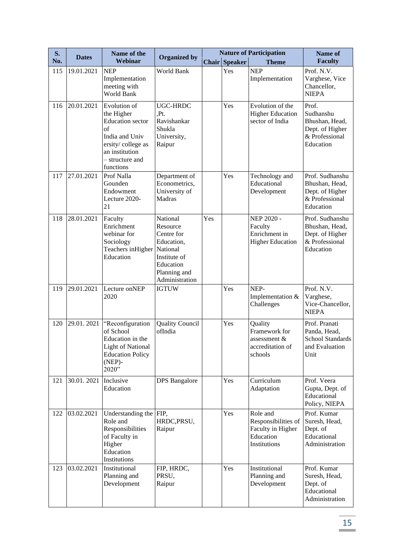| S.  | <b>Dates</b> | Name of the                                                                                                                                          | <b>Organized by</b>                                                                                                         |     |                      | <b>Nature of Participation</b>                                                    | Name of                                                                                |
|-----|--------------|------------------------------------------------------------------------------------------------------------------------------------------------------|-----------------------------------------------------------------------------------------------------------------------------|-----|----------------------|-----------------------------------------------------------------------------------|----------------------------------------------------------------------------------------|
| No. |              | Webinar                                                                                                                                              |                                                                                                                             |     | <b>Chair Speaker</b> | <b>Theme</b>                                                                      | <b>Faculty</b>                                                                         |
| 115 | 19.01.2021   | <b>NEP</b><br>Implementation<br>meeting with<br>World Bank                                                                                           | World Bank                                                                                                                  |     | Yes                  | <b>NEP</b><br>Implementation                                                      | Prof. N.V.<br>Varghese, Vice<br>Chancellor,<br><b>NIEPA</b>                            |
| 116 | 20.01.2021   | Evolution of<br>the Higher<br><b>Education</b> sector<br>of<br>India and Univ<br>ersity/college as<br>an institution<br>- structure and<br>functions | UGC-HRDC<br>Pt.<br>Ravishankar<br>Shukla<br>University,<br>Raipur                                                           |     | Yes                  | Evolution of the<br><b>Higher Education</b><br>sector of India                    | Prof.<br>Sudhanshu<br>Bhushan, Head,<br>Dept. of Higher<br>& Professional<br>Education |
| 117 | 27.01.2021   | Prof Nalla<br>Gounden<br>Endowment<br>Lecture 2020-<br>21                                                                                            | Department of<br>Econometrics,<br>University of<br>Madras                                                                   |     | Yes                  | Technology and<br>Educational<br>Development                                      | Prof. Sudhanshu<br>Bhushan, Head,<br>Dept. of Higher<br>& Professional<br>Education    |
| 118 | 28.01.2021   | Faculty<br>Enrichment<br>webinar for<br>Sociology<br>Teachers inHigher<br>Education                                                                  | National<br>Resource<br>Centre for<br>Education,<br>National<br>Institute of<br>Education<br>Planning and<br>Administration | Yes |                      | NEP 2020 -<br>Faculty<br>Enrichment in<br><b>Higher Education</b>                 | Prof. Sudhanshu<br>Bhushan, Head,<br>Dept. of Higher<br>& Professional<br>Education    |
| 119 | 29.01.2021   | Lecture onNEP<br>2020                                                                                                                                | <b>IGTUW</b>                                                                                                                |     | Yes                  | NEP-<br>Implementation &<br>Challenges                                            | Prof. N.V.<br>Varghese,<br>Vice-Chancellor,<br><b>NIEPA</b>                            |
| 120 | 29.01.2021   | "Reconfiguration<br>of School<br>Education in the<br><b>Light of National</b><br><b>Education Policy</b><br>$(NEP)$ -<br>2020"                       | <b>Quality Council</b><br>ofIndia                                                                                           |     | Yes                  | Quality<br>Framework for<br>assessment &<br>accreditation of<br>schools           | Prof. Pranati<br>Panda, Head,<br>School Standards<br>and Evaluation<br>Unit            |
| 121 | 30.01.2021   | Inclusive<br>Education                                                                                                                               | <b>DPS</b> Bangalore                                                                                                        |     | Yes                  | Curriculum<br>Adaptation                                                          | Prof. Veera<br>Gupta, Dept. of<br>Educational<br>Policy, NIEPA                         |
| 122 | 03.02.2021   | Understanding the FIP,<br>Role and<br>Responsibilities<br>of Faculty in<br>Higher<br>Education<br>Institutions                                       | HRDC, PRSU,<br>Raipur                                                                                                       |     | Yes                  | Role and<br>Responsibilities of<br>Faculty in Higher<br>Education<br>Institutions | Prof. Kumar<br>Suresh, Head,<br>Dept. of<br>Educational<br>Administration              |
| 123 | 03.02.2021   | Institutional<br>Planning and<br>Development                                                                                                         | FIP, HRDC,<br>PRSU,<br>Raipur                                                                                               |     | Yes                  | Institutional<br>Planning and<br>Development                                      | Prof. Kumar<br>Suresh, Head,<br>Dept. of<br>Educational<br>Administration              |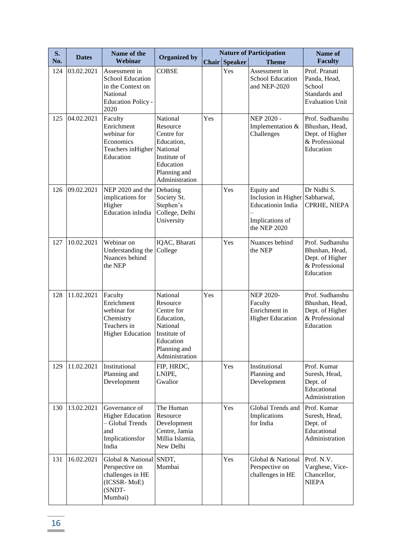| S.  | <b>Dates</b> | Name of the                                                                                                    |                                                                                                                             |     |                      | <b>Nature of Participation</b>                                                                              | Name of                                                                             |
|-----|--------------|----------------------------------------------------------------------------------------------------------------|-----------------------------------------------------------------------------------------------------------------------------|-----|----------------------|-------------------------------------------------------------------------------------------------------------|-------------------------------------------------------------------------------------|
| No. |              | Webinar                                                                                                        | <b>Organized by</b>                                                                                                         |     | <b>Chair Speaker</b> | <b>Theme</b>                                                                                                | <b>Faculty</b>                                                                      |
| 124 | 03.02.2021   | Assessment in<br><b>School Education</b><br>in the Context on<br>National<br><b>Education Policy -</b><br>2020 | <b>COBSE</b>                                                                                                                |     | Yes                  | Assessment in<br><b>School Education</b><br>and NEP-2020                                                    | Prof. Pranati<br>Panda, Head,<br>School<br>Standards and<br><b>Evaluation Unit</b>  |
| 125 | 04.02.2021   | Faculty<br>Enrichment<br>webinar for<br>Economics<br>Teachers in Higher<br>Education                           | National<br>Resource<br>Centre for<br>Education,<br>National<br>Institute of<br>Education<br>Planning and<br>Administration | Yes |                      | NEP 2020 -<br>Implementation &<br>Challenges                                                                | Prof. Sudhanshu<br>Bhushan, Head,<br>Dept. of Higher<br>& Professional<br>Education |
| 126 | 09.02.2021   | NEP 2020 and the<br>implications for<br>Higher<br>Education inIndia                                            | Debating<br>Society St.<br>Stephen's<br>College, Delhi<br>University                                                        |     | Yes                  | Equity and<br>Inclusion in Higher Sabharwal,<br><b>Educationin</b> India<br>Implications of<br>the NEP 2020 | Dr Nidhi S.<br>CPRHE, NIEPA                                                         |
| 127 | 10.02.2021   | Webinar on<br>Understanding the<br>Nuances behind<br>the NEP                                                   | IQAC, Bharati<br>College                                                                                                    |     | Yes                  | Nuances behind<br>the NEP                                                                                   | Prof. Sudhanshu<br>Bhushan, Head,<br>Dept. of Higher<br>& Professional<br>Education |
| 128 | 11.02.2021   | Faculty<br>Enrichment<br>webinar for<br>Chemistry<br>Teachers in<br><b>Higher Education</b>                    | National<br>Resource<br>Centre for<br>Education,<br>National<br>Institute of<br>Education<br>Planning and<br>Administration | Yes |                      | <b>NEP 2020-</b><br>Faculty<br>Enrichment in<br><b>Higher Education</b>                                     | Prof. Sudhanshu<br>Bhushan, Head,<br>Dept. of Higher<br>& Professional<br>Education |
| 129 | 11.02.2021   | Institutional<br>Planning and<br>Development                                                                   | FIP, HRDC,<br>LNIPE,<br>Gwalior                                                                                             |     | Yes                  | Institutional<br>Planning and<br>Development                                                                | Prof. Kumar<br>Suresh, Head,<br>Dept. of<br>Educational<br>Administration           |
| 130 | 13.02.2021   | Governance of<br><b>Higher Education</b><br>- Global Trends<br>and<br>Implicationsfor<br>India                 | The Human<br>Resource<br>Development<br>Centre, Jamia<br>Millia Islamia,<br>New Delhi                                       |     | Yes                  | Global Trends and<br>Implications<br>for India                                                              | Prof. Kumar<br>Suresh, Head,<br>Dept. of<br>Educational<br>Administration           |
| 131 | 16.02.2021   | Global & National<br>Perspective on<br>challenges in HE<br>(ICSSR-MoE)<br>(SNDT-<br>Mumbai)                    | SNDT,<br>Mumbai                                                                                                             |     | Yes                  | Global & National<br>Perspective on<br>challenges in HE                                                     | Prof. N.V.<br>Varghese, Vice-<br>Chancellor,<br><b>NIEPA</b>                        |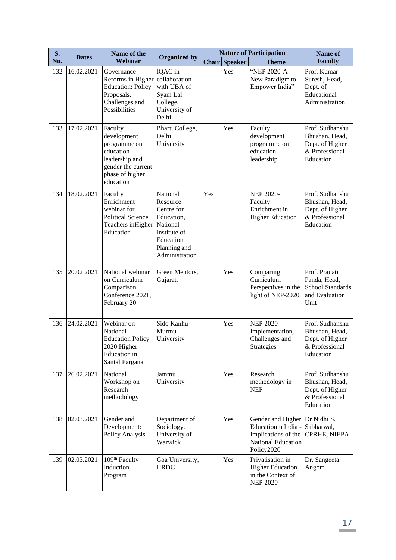| <b>S.</b> | <b>Dates</b> | Name of the                                                                                                                 | <b>Organized by</b>                                                                                                         |     |                      | <b>Nature of Participation</b>                                                                             | Name of                                                                             |
|-----------|--------------|-----------------------------------------------------------------------------------------------------------------------------|-----------------------------------------------------------------------------------------------------------------------------|-----|----------------------|------------------------------------------------------------------------------------------------------------|-------------------------------------------------------------------------------------|
| No.       |              | Webinar                                                                                                                     |                                                                                                                             |     | <b>Chair Speaker</b> | <b>Theme</b>                                                                                               | <b>Faculty</b>                                                                      |
| 132       | 16.02.2021   | Governance<br>Reforms in Higher<br><b>Education: Policy</b><br>Proposals,<br>Challenges and<br>Possibilities                | IQAC in<br>collaboration<br>with UBA of<br>Syam Lal<br>College,<br>University of<br>Delhi                                   |     | Yes                  | "NEP 2020-A<br>New Paradigm to<br>Empower India"                                                           | Prof. Kumar<br>Suresh, Head,<br>Dept. of<br>Educational<br>Administration           |
| 133       | 17.02.2021   | Faculty<br>development<br>programme on<br>education<br>leadership and<br>gender the current<br>phase of higher<br>education | Bharti College,<br>Delhi<br>University                                                                                      |     | Yes                  | Faculty<br>development<br>programme on<br>education<br>leadership                                          | Prof. Sudhanshu<br>Bhushan, Head,<br>Dept. of Higher<br>& Professional<br>Education |
| 134       | 18.02.2021   | Faculty<br>Enrichment<br>webinar for<br><b>Political Science</b><br>Teachers in Higher<br>Education                         | National<br>Resource<br>Centre for<br>Education,<br>National<br>Institute of<br>Education<br>Planning and<br>Administration | Yes |                      | <b>NEP 2020-</b><br>Faculty<br>Enrichment in<br><b>Higher Education</b>                                    | Prof. Sudhanshu<br>Bhushan, Head,<br>Dept. of Higher<br>& Professional<br>Education |
| 135       | 20.02 2021   | National webinar<br>on Curriculum<br>Comparison<br>Conference 2021,<br>February 20                                          | Green Mentors,<br>Gujarat.                                                                                                  |     | Yes                  | Comparing<br>Curriculum<br>Perspectives in the<br>light of NEP-2020                                        | Prof. Pranati<br>Panda, Head,<br><b>School Standards</b><br>and Evaluation<br>Unit  |
| 136       | 24.02.2021   | Webinar on<br>National<br><b>Education Policy</b><br>2020:Higher<br>Education in<br>Santal Pargana                          | Sido Kanhu<br>Murmu<br>University                                                                                           |     | Yes                  | <b>NEP 2020-</b><br>Implementation,<br>Challenges and<br>Strategies                                        | Prof. Sudhanshu<br>Bhushan, Head,<br>Dept. of Higher<br>& Professional<br>Education |
| 137       | 26.02.2021   | National<br>Workshop on<br>Research<br>methodology                                                                          | Jammu<br>University                                                                                                         |     | Yes                  | Research<br>methodology in<br><b>NEP</b>                                                                   | Prof. Sudhanshu<br>Bhushan, Head,<br>Dept. of Higher<br>& Professional<br>Education |
| 138       | 02.03.2021   | Gender and<br>Development:<br>Policy Analysis                                                                               | Department of<br>Sociology.<br>University of<br>Warwick                                                                     |     | Yes                  | Gender and Higher<br>Educationin India -<br>Implications of the<br><b>National Education</b><br>Policy2020 | Dr Nidhi S.<br>Sabharwal,<br>CPRHE, NIEPA                                           |
| 139       | 02.03.2021   | 109 <sup>th</sup> Faculty<br>Induction<br>Program                                                                           | Goa University,<br><b>HRDC</b>                                                                                              |     | Yes                  | Privatisation in<br><b>Higher Education</b><br>in the Context of<br><b>NEP 2020</b>                        | Dr. Sangeeta<br>Angom                                                               |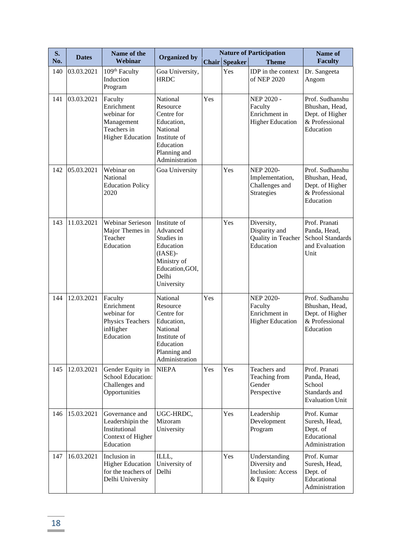| S.  | <b>Dates</b> | Name of the                                                                                  | <b>Organized by</b>                                                                                                         |              |                | <b>Nature of Participation</b>                                          | Name of                                                                             |
|-----|--------------|----------------------------------------------------------------------------------------------|-----------------------------------------------------------------------------------------------------------------------------|--------------|----------------|-------------------------------------------------------------------------|-------------------------------------------------------------------------------------|
| No. |              | Webinar                                                                                      |                                                                                                                             | <b>Chair</b> | <b>Speaker</b> | <b>Theme</b>                                                            | <b>Faculty</b>                                                                      |
| 140 | 03.03.2021   | 109 <sup>th</sup> Faculty<br>Induction<br>Program                                            | Goa University,<br><b>HRDC</b>                                                                                              |              | Yes            | IDP in the context<br>of NEP 2020                                       | Dr. Sangeeta<br>Angom                                                               |
| 141 | 03.03.2021   | Faculty<br>Enrichment<br>webinar for<br>Management<br>Teachers in<br><b>Higher Education</b> | National<br>Resource<br>Centre for<br>Education,<br>National<br>Institute of<br>Education<br>Planning and<br>Administration | Yes          |                | NEP 2020 -<br>Faculty<br>Enrichment in<br><b>Higher Education</b>       | Prof. Sudhanshu<br>Bhushan, Head,<br>Dept. of Higher<br>& Professional<br>Education |
| 142 | 05.03.2021   | Webinar on<br>National<br><b>Education Policy</b><br>2020                                    | Goa University                                                                                                              |              | Yes            | <b>NEP 2020-</b><br>Implementation,<br>Challenges and<br>Strategies     | Prof. Sudhanshu<br>Bhushan, Head,<br>Dept. of Higher<br>& Professional<br>Education |
| 143 | 11.03.2021   | <b>Webinar Serieson</b><br>Major Themes in<br>Teacher<br>Education                           | Institute of<br>Advanced<br>Studies in<br>Education<br>$(IASE)$ -<br>Ministry of<br>Education, GOI,<br>Delhi<br>University  |              | Yes            | Diversity,<br>Disparity and<br>Quality in Teacher<br>Education          | Prof. Pranati<br>Panda, Head,<br><b>School Standards</b><br>and Evaluation<br>Unit  |
| 144 | 12.03.2021   | Faculty<br>Enrichment<br>webinar for<br>Physics Teachers<br>inHigher<br>Education            | National<br>Resource<br>Centre for<br>Education,<br>National<br>Institute of<br>Education<br>Planning and<br>Administration | Yes          |                | <b>NEP 2020-</b><br>Faculty<br>Enrichment in<br><b>Higher Education</b> | Prof. Sudhanshu<br>Bhushan, Head,<br>Dept. of Higher<br>& Professional<br>Education |
| 145 | 12.03.2021   | Gender Equity in<br>School Education:<br>Challenges and<br>Opportunities                     | <b>NIEPA</b>                                                                                                                | Yes          | Yes            | Teachers and<br>Teaching from<br>Gender<br>Perspective                  | Prof. Pranati<br>Panda, Head,<br>School<br>Standards and<br><b>Evaluation Unit</b>  |
| 146 | 15.03.2021   | Governance and<br>Leadershipin the<br>Institutional<br>Context of Higher<br>Education        | UGC-HRDC,<br>Mizoram<br>University                                                                                          |              | Yes            | Leadership<br>Development<br>Program                                    | Prof. Kumar<br>Suresh, Head,<br>Dept. of<br>Educational<br>Administration           |
| 147 | 16.03.2021   | Inclusion in<br><b>Higher Education</b><br>for the teachers of<br>Delhi University           | ILLL,<br>University of<br>Delhi                                                                                             |              | Yes            | Understanding<br>Diversity and<br><b>Inclusion: Access</b><br>& Equity  | Prof. Kumar<br>Suresh, Head,<br>Dept. of<br>Educational<br>Administration           |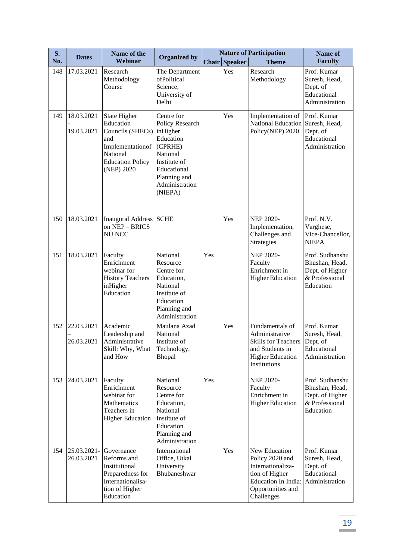| <b>S.</b> | <b>Dates</b>              | Name of the                                                                                                                          |                                                                                                                                                           |              |                | <b>Nature of Participation</b>                                                                                                    | Name of                                                                             |
|-----------|---------------------------|--------------------------------------------------------------------------------------------------------------------------------------|-----------------------------------------------------------------------------------------------------------------------------------------------------------|--------------|----------------|-----------------------------------------------------------------------------------------------------------------------------------|-------------------------------------------------------------------------------------|
| No.       |                           | Webinar                                                                                                                              | <b>Organized by</b>                                                                                                                                       | <b>Chair</b> | <b>Speaker</b> | <b>Theme</b>                                                                                                                      | <b>Faculty</b>                                                                      |
| 148       | 17.03.2021                | Research<br>Methodology<br>Course                                                                                                    | The Department<br>ofPolitical<br>Science,<br>University of<br>Delhi                                                                                       |              | Yes            | Research<br>Methodology                                                                                                           | Prof. Kumar<br>Suresh, Head,<br>Dept. of<br>Educational<br>Administration           |
| 149       | 18.03.2021<br>19.03.2021  | <b>State Higher</b><br>Education<br>Councils (SHECs)<br>and<br>Implementationof<br>National<br><b>Education Policy</b><br>(NEP) 2020 | Centre for<br>Policy Research<br>inHigher<br>Education<br>(CPRHE)<br>National<br>Institute of<br>Educational<br>Planning and<br>Administration<br>(NIEPA) |              | Yes            | Implementation of<br>National Education<br>Policy(NEP) 2020                                                                       | Prof. Kumar<br>Suresh, Head,<br>Dept. of<br>Educational<br>Administration           |
| 150       | 18.03.2021                | Inaugural Address SCHE<br>on NEP-BRICS<br><b>NU NCC</b>                                                                              |                                                                                                                                                           |              | Yes            | <b>NEP 2020-</b><br>Implementation,<br>Challenges and<br>Strategies                                                               | Prof. N.V.<br>Varghese,<br>Vice-Chancellor,<br><b>NIEPA</b>                         |
| 151       | 18.03.2021                | Faculty<br>Enrichment<br>webinar for<br><b>History Teachers</b><br>inHigher<br>Education                                             | National<br>Resource<br>Centre for<br>Education,<br>National<br>Institute of<br>Education<br>Planning and<br>Administration                               | Yes          |                | <b>NEP 2020-</b><br>Faculty<br>Enrichment in<br><b>Higher Education</b>                                                           | Prof. Sudhanshu<br>Bhushan, Head,<br>Dept. of Higher<br>& Professional<br>Education |
| 152       | 22.03.2021<br>26.03.2021  | Academic<br>Leadership and<br>Administrative<br>Skill: Why, What<br>and How                                                          | Maulana Azad<br>National<br>Institute of<br>Technology,<br>Bhopal                                                                                         |              | Yes            | Fundamentals of<br>Administrative<br><b>Skills for Teachers</b><br>and Students in<br><b>Higher Education</b><br>Institutions     | Prof. Kumar<br>Suresh, Head,<br>Dept. of<br>Educational<br>Administration           |
| 153       | 24.03.2021                | Faculty<br>Enrichment<br>webinar for<br>Mathematics<br>Teachers in<br><b>Higher Education</b>                                        | National<br>Resource<br>Centre for<br>Education,<br>National<br>Institute of<br>Education<br>Planning and<br>Administration                               | Yes          |                | <b>NEP 2020-</b><br>Faculty<br>Enrichment in<br><b>Higher Education</b>                                                           | Prof. Sudhanshu<br>Bhushan, Head,<br>Dept. of Higher<br>& Professional<br>Education |
| 154       | 25.03.2021-<br>26.03.2021 | Governance<br>Reforms and<br>Institutional<br>Preparedness for<br>Internationalisa-<br>tion of Higher<br>Education                   | International<br>Office, Utkal<br>University<br>Bhubaneshwar                                                                                              |              | Yes            | New Education<br>Policy 2020 and<br>Internationaliza-<br>tion of Higher<br>Education In India:<br>Opportunities and<br>Challenges | Prof. Kumar<br>Suresh, Head,<br>Dept. of<br>Educational<br>Administration           |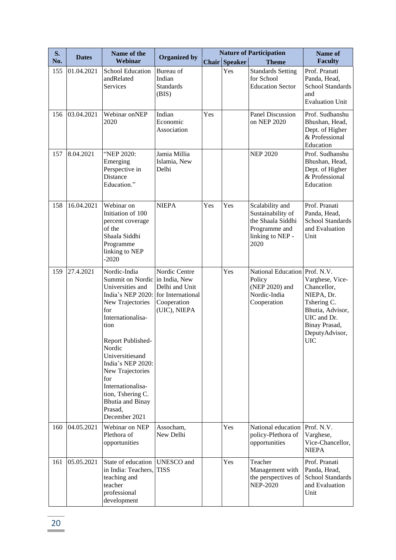| S.  | <b>Dates</b> | Name of the                                                                                                                                                                                                                                                                                                                                                          | <b>Organized by</b>                                            |       |                | <b>Nature of Participation</b>                                                                         | <b>Name of</b>                                                                                                                                  |
|-----|--------------|----------------------------------------------------------------------------------------------------------------------------------------------------------------------------------------------------------------------------------------------------------------------------------------------------------------------------------------------------------------------|----------------------------------------------------------------|-------|----------------|--------------------------------------------------------------------------------------------------------|-------------------------------------------------------------------------------------------------------------------------------------------------|
| No. |              | Webinar                                                                                                                                                                                                                                                                                                                                                              |                                                                | Chair | <b>Speaker</b> | <b>Theme</b>                                                                                           | <b>Faculty</b>                                                                                                                                  |
| 155 | 01.04.2021   | <b>School Education</b><br>andRelated<br>Services                                                                                                                                                                                                                                                                                                                    | Bureau of<br>Indian<br><b>Standards</b><br>(BIS)               |       | Yes            | <b>Standards Setting</b><br>for School<br><b>Education Sector</b>                                      | Prof. Pranati<br>Panda, Head,<br><b>School Standards</b><br>and<br><b>Evaluation Unit</b>                                                       |
| 156 | 03.04.2021   | Webinar onNEP<br>2020                                                                                                                                                                                                                                                                                                                                                | Indian<br>Economic<br>Association                              | Yes   |                | <b>Panel Discussion</b><br>on NEP 2020                                                                 | Prof. Sudhanshu<br>Bhushan, Head,<br>Dept. of Higher<br>& Professional<br>Education                                                             |
| 157 | 8.04.2021    | "NEP 2020:<br>Emerging<br>Perspective in<br>Distance<br>Education."                                                                                                                                                                                                                                                                                                  | Jamia Millia<br>Islamia, New<br>Delhi                          |       |                | <b>NEP 2020</b>                                                                                        | Prof. Sudhanshu<br>Bhushan, Head,<br>Dept. of Higher<br>& Professional<br>Education                                                             |
| 158 | 16.04.2021   | Webinar on<br>Initiation of 100<br>percent coverage<br>of the<br>Shaala Siddhi<br>Programme<br>linking to NEP<br>$-2020$                                                                                                                                                                                                                                             | <b>NIEPA</b>                                                   | Yes   | Yes            | Scalability and<br>Sustainability of<br>the Shaala Siddhi<br>Programme and<br>linking to NEP -<br>2020 | Prof. Pranati<br>Panda, Head,<br><b>School Standards</b><br>and Evaluation<br>Unit                                                              |
| 159 | 27.4.2021    | Nordic-India<br>Summit on Nordic in India, New<br>Universities and<br>India's NEP 2020: for International<br>New Trajectories<br>for<br>Internationalisa-<br>tion<br>Report Published-<br>Nordic<br>Universitiesand<br>India's NEP 2020:<br>New Trajectories<br>for<br>Internationalisa-<br>tion, Tshering C.<br><b>Bhutia</b> and Binay<br>Prasad,<br>December 2021 | Nordic Centre<br>Delhi and Unit<br>Cooperation<br>(UIC), NIEPA |       | Yes            | National Education Prof. N.V.<br>Policy<br>(NEP 2020) and<br>Nordic-India<br>Cooperation               | Varghese, Vice-<br>Chancellor,<br>NIEPA, Dr.<br>Tshering C.<br>Bhutia, Advisor,<br>UIC and Dr.<br>Binay Prasad,<br>DeputyAdvisor,<br><b>UIC</b> |
| 160 | 04.05.2021   | Webinar on NEP<br>Plethora of<br>opportunities                                                                                                                                                                                                                                                                                                                       | Assocham,<br>New Delhi                                         |       | Yes            | National education<br>policy-Plethora of<br>opportunities                                              | Prof. N.V.<br>Varghese,<br>Vice-Chancellor,<br><b>NIEPA</b>                                                                                     |
| 161 | 05.05.2021   | State of education<br>in India: Teachers,<br>teaching and<br>teacher<br>professional<br>development                                                                                                                                                                                                                                                                  | <b>UNESCO</b> and<br><b>TISS</b>                               |       | Yes            | Teacher<br>Management with<br>the perspectives of<br><b>NEP-2020</b>                                   | Prof. Pranati<br>Panda, Head,<br><b>School Standards</b><br>and Evaluation<br>Unit                                                              |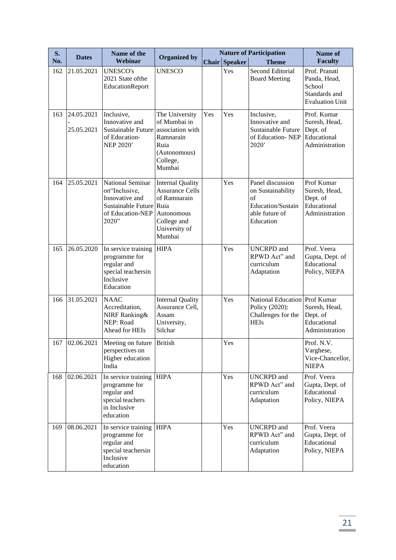| <b>S.</b> | <b>Dates</b>             | Name of the                                                                                                        | <b>Organized by</b>                                                                                                       |     |                      | <b>Nature of Participation</b>                                                                  | Name of                                                                            |
|-----------|--------------------------|--------------------------------------------------------------------------------------------------------------------|---------------------------------------------------------------------------------------------------------------------------|-----|----------------------|-------------------------------------------------------------------------------------------------|------------------------------------------------------------------------------------|
| No.       |                          | Webinar                                                                                                            |                                                                                                                           |     | <b>Chair Speaker</b> | <b>Theme</b>                                                                                    | <b>Faculty</b>                                                                     |
| 162       | 21.05.2021               | <b>UNESCO's</b><br>2021 State of the<br>EducationReport                                                            | <b>UNESCO</b>                                                                                                             |     | Yes                  | <b>Second Editorial</b><br><b>Board Meeting</b>                                                 | Prof. Pranati<br>Panda, Head,<br>School<br>Standards and<br><b>Evaluation Unit</b> |
| 163       | 24.05.2021<br>25.05.2021 | Inclusive,<br>Innovative and<br>Sustainable Future association with<br>of Education-<br><b>NEP 2020'</b>           | The University<br>of Mumbai in<br>Ramnarain<br>Ruia<br>(Autonomous)<br>College,<br>Mumbai                                 | Yes | Yes                  | Inclusive,<br>Innovative and<br>Sustainable Future<br>of Education-NEP<br>2020'                 | Prof. Kumar<br>Suresh, Head,<br>Dept. of<br>Educational<br>Administration          |
| 164       | 25.05.2021               | <b>National Seminar</b><br>on"Inclusive,<br>Innovative and<br>Sustainable Future Ruia<br>of Education-NEP<br>2020" | <b>Internal Quality</b><br><b>Assurance Cells</b><br>of Ramnarain<br>Autonomous<br>College and<br>University of<br>Mumbai |     | Yes                  | Panel discussion<br>on Sustainability<br>of<br>Education/Sustain<br>able future of<br>Education | Prof Kumar<br>Suresh, Head,<br>Dept. of<br>Educational<br>Administration           |
| 165       | 26.05.2020               | In service training<br>programme for<br>regular and<br>special teachersin<br>Inclusive<br>Education                | <b>HIPA</b>                                                                                                               |     | Yes                  | <b>UNCRPD</b> and<br>RPWD Act" and<br>curriculum<br>Adaptation                                  | Prof. Veera<br>Gupta, Dept. of<br>Educational<br>Policy, NIEPA                     |
| 166       | 31.05.2021               | <b>NAAC</b><br>Accreditation,<br>NIRF Ranking&<br>NEP: Road<br>Ahead for HEIs                                      | <b>Internal Quality</b><br>Assurance Cell,<br>Assam<br>University,<br>Silchar                                             |     | Yes                  | National Education Prof Kumar<br>Policy (2020):<br>Challenges for the<br><b>HEIs</b>            | Suresh, Head,<br>Dept. of<br>Educational<br>Administration                         |
| 167       | 02.06.2021               | Meeting on future<br>perspectives on<br>Higher education<br>India                                                  | <b>British</b>                                                                                                            |     | Yes                  |                                                                                                 | Prof. N.V.<br>Varghese,<br>Vice-Chancellor,<br><b>NIEPA</b>                        |
| 168       | 02.06.2021               | In service training HIPA<br>programme for<br>regular and<br>special teachers<br>in Inclusive<br>education          |                                                                                                                           |     | Yes                  | <b>UNCRPD</b> and<br>RPWD Act" and<br>curriculum<br>Adaptation                                  | Prof. Veera<br>Gupta, Dept. of<br>Educational<br>Policy, NIEPA                     |
| 169       | 08.06.2021               | In service training<br>programme for<br>regular and<br>special teachersin<br>Inclusive<br>education                | <b>HIPA</b>                                                                                                               |     | Yes                  | <b>UNCRPD</b> and<br>RPWD Act" and<br>curriculum<br>Adaptation                                  | Prof. Veera<br>Gupta, Dept. of<br>Educational<br>Policy, NIEPA                     |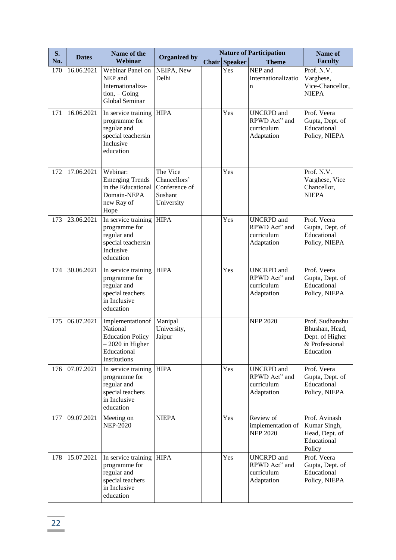| S.  | <b>Dates</b> | Name of the                                                                                                       | <b>Organized by</b>                                                |                      | <b>Nature of Participation</b>                                 | Name of                                                                             |
|-----|--------------|-------------------------------------------------------------------------------------------------------------------|--------------------------------------------------------------------|----------------------|----------------------------------------------------------------|-------------------------------------------------------------------------------------|
| No. |              | Webinar                                                                                                           |                                                                    | <b>Chair Speaker</b> | <b>Theme</b>                                                   | <b>Faculty</b>                                                                      |
| 170 | 16.06.2021   | Webinar Panel on<br>NEP and<br>Internationaliza-<br>$tion, -Going$<br>Global Seminar                              | NEIPA, New<br>Delhi                                                | Yes                  | NEP and<br>Internationalizatio<br>$\mathbf n$                  | Prof. N.V.<br>Varghese,<br>Vice-Chancellor,<br><b>NIEPA</b>                         |
| 171 | 16.06.2021   | In service training<br>programme for<br>regular and<br>special teachersin<br>Inclusive<br>education               | <b>HIPA</b>                                                        | Yes                  | <b>UNCRPD</b> and<br>RPWD Act" and<br>curriculum<br>Adaptation | Prof. Veera<br>Gupta, Dept. of<br>Educational<br>Policy, NIEPA                      |
| 172 | 17.06.2021   | Webinar:<br><b>Emerging Trends</b><br>in the Educational<br>Domain-NEPA<br>new Ray of<br>Hope                     | The Vice<br>Chancellors'<br>Conference of<br>Sushant<br>University | Yes                  |                                                                | Prof. N.V.<br>Varghese, Vice<br>Chancellor,<br><b>NIEPA</b>                         |
| 173 | 23.06.2021   | In service training<br>programme for<br>regular and<br>special teachersin<br>Inclusive<br>education               | <b>HIPA</b>                                                        | Yes                  | <b>UNCRPD</b> and<br>RPWD Act" and<br>curriculum<br>Adaptation | Prof. Veera<br>Gupta, Dept. of<br>Educational<br>Policy, NIEPA                      |
| 174 | 30.06.2021   | In service training<br>programme for<br>regular and<br>special teachers<br>in Inclusive<br>education              | <b>HIPA</b>                                                        | Yes                  | <b>UNCRPD</b> and<br>RPWD Act" and<br>curriculum<br>Adaptation | Prof. Veera<br>Gupta, Dept. of<br>Educational<br>Policy, NIEPA                      |
| 175 | 06.07.2021   | Implementationof<br>National<br><b>Education Policy</b><br>- 2020 in Higher<br>Educational<br><b>Institutions</b> | Manipal<br>University,<br>Jaipur                                   |                      | <b>NEP 2020</b>                                                | Prof. Sudhanshu<br>Bhushan, Head,<br>Dept. of Higher<br>& Professional<br>Education |
| 176 | 07.07.2021   | In service training<br>programme for<br>regular and<br>special teachers<br>in Inclusive<br>education              | <b>HIPA</b>                                                        | Yes                  | <b>UNCRPD</b> and<br>RPWD Act" and<br>curriculum<br>Adaptation | Prof. Veera<br>Gupta, Dept. of<br>Educational<br>Policy, NIEPA                      |
| 177 | 09.07.2021   | Meeting on<br><b>NEP-2020</b>                                                                                     | <b>NIEPA</b>                                                       | Yes                  | Review of<br>implementation of<br><b>NEP 2020</b>              | Prof. Avinash<br>Kumar Singh,<br>Head, Dept. of<br>Educational<br>Policy            |
| 178 | 15.07.2021   | In service training<br>programme for<br>regular and<br>special teachers<br>in Inclusive<br>education              | <b>HIPA</b>                                                        | Yes                  | <b>UNCRPD</b> and<br>RPWD Act" and<br>curriculum<br>Adaptation | Prof. Veera<br>Gupta, Dept. of<br>Educational<br>Policy, NIEPA                      |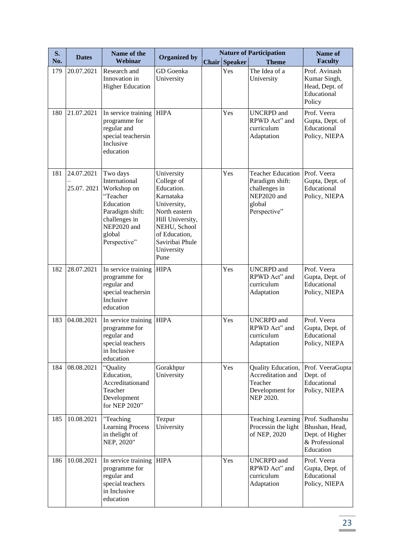| S.  | <b>Dates</b>             | Name of the                                                                                                                                    | <b>Organized by</b>                                                                                                                                                               |                      | <b>Nature of Participation</b>                                                                        | Name of                                                                             |
|-----|--------------------------|------------------------------------------------------------------------------------------------------------------------------------------------|-----------------------------------------------------------------------------------------------------------------------------------------------------------------------------------|----------------------|-------------------------------------------------------------------------------------------------------|-------------------------------------------------------------------------------------|
| No. |                          | Webinar                                                                                                                                        |                                                                                                                                                                                   | <b>Chair Speaker</b> | <b>Theme</b>                                                                                          | <b>Faculty</b>                                                                      |
| 179 | 20.07.2021               | Research and<br>Innovation in<br><b>Higher Education</b>                                                                                       | GD Goenka<br>University                                                                                                                                                           | Yes                  | The Idea of a<br>University                                                                           | Prof. Avinash<br>Kumar Singh,<br>Head, Dept. of<br>Educational<br>Policy            |
| 180 | 21.07.2021               | In service training<br>programme for<br>regular and<br>special teachersin<br>Inclusive<br>education                                            | <b>HIPA</b>                                                                                                                                                                       | Yes                  | <b>UNCRPD</b> and<br>RPWD Act" and<br>curriculum<br>Adaptation                                        | Prof. Veera<br>Gupta, Dept. of<br>Educational<br>Policy, NIEPA                      |
| 181 | 24.07.2021<br>25.07.2021 | Two days<br>International<br>Workshop on<br>"Teacher<br>Education<br>Paradigm shift:<br>challenges in<br>NEP2020 and<br>global<br>Perspective" | University<br>College of<br>Education.<br>Karnataka<br>University,<br>North eastern<br>Hill University,<br>NEHU, School<br>of Education,<br>Saviribai Phule<br>University<br>Pune | Yes                  | <b>Teacher Education</b><br>Paradigm shift:<br>challenges in<br>NEP2020 and<br>global<br>Perspective" | Prof. Veera<br>Gupta, Dept. of<br>Educational<br>Policy, NIEPA                      |
| 182 | 28.07.2021               | In service training<br>programme for<br>regular and<br>special teachersin<br>Inclusive<br>education                                            | <b>HIPA</b>                                                                                                                                                                       | Yes                  | <b>UNCRPD</b> and<br>RPWD Act" and<br>curriculum<br>Adaptation                                        | Prof. Veera<br>Gupta, Dept. of<br>Educational<br>Policy, NIEPA                      |
| 183 | 04.08.2021               | In service training<br>programme for<br>regular and<br>special teachers<br>in Inclusive<br>education                                           | <b>HIPA</b>                                                                                                                                                                       | Yes                  | <b>UNCRPD</b> and<br>RPWD Act" and<br>curriculum<br>Adaptation                                        | Prof. Veera<br>Gupta, Dept. of<br>Educational<br>Policy, NIEPA                      |
| 184 | 08.08.2021               | "Quality<br>Education,<br>Accreditationand<br>Teacher<br>Development<br>for NEP 2020"                                                          | Gorakhpur<br>University                                                                                                                                                           | Yes                  | Quality Education,<br>Accreditation and<br>Teacher<br>Development for<br>NEP 2020.                    | Prof. VeeraGupta<br>Dept. of<br>Educational<br>Policy, NIEPA                        |
| 185 | 10.08.2021               | "Teaching<br><b>Learning Process</b><br>in the light of<br>NEP, 2020"                                                                          | Tezpur<br>University                                                                                                                                                              |                      | <b>Teaching Learning</b><br>Processin the light<br>of NEP, 2020                                       | Prof. Sudhanshu<br>Bhushan, Head,<br>Dept. of Higher<br>& Professional<br>Education |
| 186 | 10.08.2021               | In service training<br>programme for<br>regular and<br>special teachers<br>in Inclusive<br>education                                           | <b>HIPA</b>                                                                                                                                                                       | Yes                  | <b>UNCRPD</b> and<br>RPWD Act" and<br>curriculum<br>Adaptation                                        | Prof. Veera<br>Gupta, Dept. of<br>Educational<br>Policy, NIEPA                      |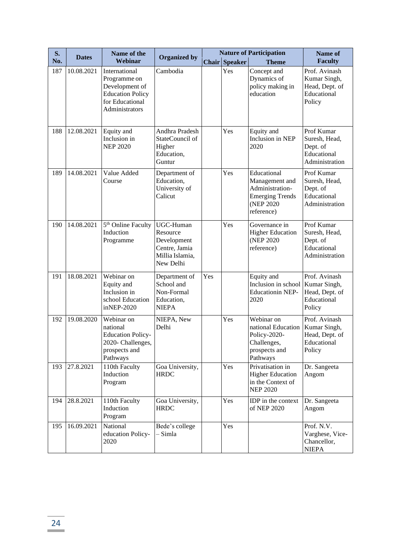| S.  | <b>Dates</b> | Name of the                                                                                                     | <b>Organized by</b>                                                                   |     |                      | <b>Nature of Participation</b>                                                                         | Name of                                                                  |
|-----|--------------|-----------------------------------------------------------------------------------------------------------------|---------------------------------------------------------------------------------------|-----|----------------------|--------------------------------------------------------------------------------------------------------|--------------------------------------------------------------------------|
| No. |              | Webinar                                                                                                         |                                                                                       |     | <b>Chair Speaker</b> | <b>Theme</b>                                                                                           | <b>Faculty</b>                                                           |
| 187 | 10.08.2021   | International<br>Programme on<br>Development of<br><b>Education Policy</b><br>for Educational<br>Administrators | Cambodia                                                                              |     | Yes                  | Concept and<br>Dynamics of<br>policy making in<br>education                                            | Prof. Avinash<br>Kumar Singh,<br>Head, Dept. of<br>Educational<br>Policy |
| 188 | 12.08.2021   | Equity and<br>Inclusion in<br><b>NEP 2020</b>                                                                   | Andhra Pradesh<br>StateCouncil of<br>Higher<br>Education,<br>Guntur                   |     | Yes                  | Equity and<br>Inclusion in NEP<br>2020                                                                 | Prof Kumar<br>Suresh, Head,<br>Dept. of<br>Educational<br>Administration |
| 189 | 14.08.2021   | Value Added<br>Course                                                                                           | Department of<br>Education,<br>University of<br>Calicut                               |     | Yes                  | Educational<br>Management and<br>Administration-<br><b>Emerging Trends</b><br>(NEP 2020)<br>reference) | Prof Kumar<br>Suresh, Head,<br>Dept. of<br>Educational<br>Administration |
| 190 | 14.08.2021   | 5 <sup>th</sup> Online Faculty<br>Induction<br>Programme                                                        | UGC-Human<br>Resource<br>Development<br>Centre, Jamia<br>Millia Islamia,<br>New Delhi |     | Yes                  | Governance in<br><b>Higher Education</b><br>(NEP 2020)<br>reference)                                   | Prof Kumar<br>Suresh, Head,<br>Dept. of<br>Educational<br>Administration |
| 191 | 18.08.2021   | Webinar on<br>Equity and<br>Inclusion in<br>school Education<br>inNEP-2020                                      | Department of<br>School and<br>Non-Formal<br>Education,<br><b>NIEPA</b>               | Yes |                      | Equity and<br>Inclusion in school<br><b>Educationin NEP-</b><br>2020                                   | Prof. Avinash<br>Kumar Singh,<br>Head, Dept. of<br>Educational<br>Policy |
| 192 | 19.08.2020   | Webinar on<br>national<br><b>Education Policy-</b><br>2020- Challenges,<br>prospects and<br>Pathways            | NIEPA, New<br>Delhi                                                                   |     | Yes                  | Webinar on<br>national Education<br>Policy-2020-<br>Challenges,<br>prospects and<br>Pathways           | Prof. Avinash<br>Kumar Singh,<br>Head, Dept. of<br>Educational<br>Policy |
| 193 | 27.8.2021    | 110th Faculty<br>Induction<br>Program                                                                           | Goa University,<br><b>HRDC</b>                                                        |     | Yes                  | Privatisation in<br><b>Higher Education</b><br>in the Context of<br><b>NEP 2020</b>                    | Dr. Sangeeta<br>Angom                                                    |
| 194 | 28.8.2021    | 110th Faculty<br>Induction<br>Program                                                                           | Goa University,<br><b>HRDC</b>                                                        |     | Yes                  | IDP in the context<br>of NEP 2020                                                                      | Dr. Sangeeta<br>Angom                                                    |
| 195 | 16.09.2021   | National<br>education Policy-<br>2020                                                                           | Bede's college<br>– Simla                                                             |     | Yes                  |                                                                                                        | Prof. N.V.<br>Varghese, Vice-<br>Chancellor,<br><b>NIEPA</b>             |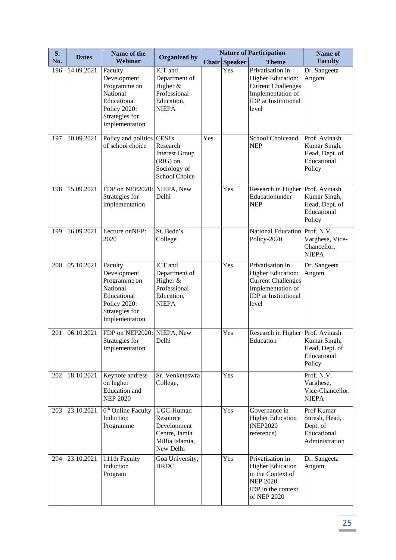| S.  | <b>Dates</b> | Name of the                                                                                                                  | <b>Organized by</b>                                                                                    |     | <b>Nature of Participation</b> | Name of                                                                                                                         |                                                                          |
|-----|--------------|------------------------------------------------------------------------------------------------------------------------------|--------------------------------------------------------------------------------------------------------|-----|--------------------------------|---------------------------------------------------------------------------------------------------------------------------------|--------------------------------------------------------------------------|
| No. |              | Webinar                                                                                                                      |                                                                                                        |     | <b>Chair Speaker</b>           | <b>Theme</b>                                                                                                                    | <b>Faculty</b>                                                           |
| 196 | 14.09.2021   | Faculty<br>Development<br>Programme on<br>National<br>Educational<br><b>Policy 2020:</b><br>Strategies for<br>Implementation | ICT and<br>Department of<br>Higher &<br>Professional<br>Education,<br><b>NIEPA</b>                     |     | Yes                            | Privatisation in<br>Higher Education:<br><b>Current Challenges</b><br>Implementation of<br><b>IDP</b> at Institutional<br>level | Dr. Sangeeta<br>Angom                                                    |
| 197 | 10.09.2021   | Policy and politics<br>of school choice                                                                                      | <b>CESI's</b><br>Research<br><b>Interest Group</b><br>(RIG) on<br>Sociology of<br><b>School Choice</b> | Yes |                                | School Choiceand<br><b>NEP</b>                                                                                                  | Prof. Avinash<br>Kumar Singh,<br>Head, Dept. of<br>Educational<br>Policy |
| 198 | 15.09.2021   | FDP on NEP2020:<br>Strategies for<br>implementation                                                                          | NIEPA, New<br>Delhi                                                                                    |     | Yes                            | Research in Higher<br>Educationunder<br><b>NEP</b>                                                                              | Prof. Avinash<br>Kumar Singh,<br>Head, Dept. of<br>Educational<br>Policy |
| 199 | 16.09.2021   | Lecture onNEP:<br>2020                                                                                                       | St. Bede's<br>College                                                                                  |     |                                | <b>National Education</b><br>Policy-2020                                                                                        | Prof. N.V.<br>Varghese, Vice-<br>Chancellor,<br><b>NIEPA</b>             |
| 200 | 05.10.2021   | Faculty<br>Development<br>Programme on<br>National<br>Educational<br>Policy 2020:<br>Strategies for<br>Implementation        | ICT and<br>Department of<br>Higher &<br>Professional<br>Education,<br><b>NIEPA</b>                     |     | Yes                            | Privatisation in<br>Higher Education:<br><b>Current Challenges</b><br>Implementation of<br><b>IDP</b> at Institutional<br>level | Dr. Sangeeta<br>Angom                                                    |
| 201 | 06.10.2021   | FDP on NEP2020:<br>Strategies for<br>Implementation                                                                          | NIEPA, New<br>Delhi                                                                                    |     | Yes                            | Research in Higher Prof. Avinash<br>Education                                                                                   | Kumar Singh,<br>Head, Dept. of<br>Educational<br>Policy                  |
| 202 | 18.10.2021   | Keynote address<br>on higher<br>Education and<br><b>NEP 2020</b>                                                             | Sr. Venketeswra<br>College,                                                                            |     | Yes                            |                                                                                                                                 | Prof. N.V.<br>Varghese,<br>Vice-Chancellor,<br><b>NIEPA</b>              |
| 203 | 23.10.2021   | 6 <sup>th</sup> Online Faculty<br>Induction<br>Programme                                                                     | UGC-Human<br>Resource<br>Development<br>Centre, Jamia<br>Millia Islamia,<br>New Delhi                  |     | Yes                            | Governance in<br><b>Higher Education</b><br>(NEP2020)<br>reference)                                                             | Prof Kumar<br>Suresh, Head,<br>Dept. of<br>Educational<br>Administration |
| 204 | 23.10.2021   | 111th Faculty<br>Induction<br>Program                                                                                        | Goa University,<br><b>HRDC</b>                                                                         |     | Yes                            | Privatisation in<br><b>Higher Education</b><br>in the Context of<br>NEP 2020.<br>IDP in the context<br>of NEP 2020              | Dr. Sangeeta<br>Angom                                                    |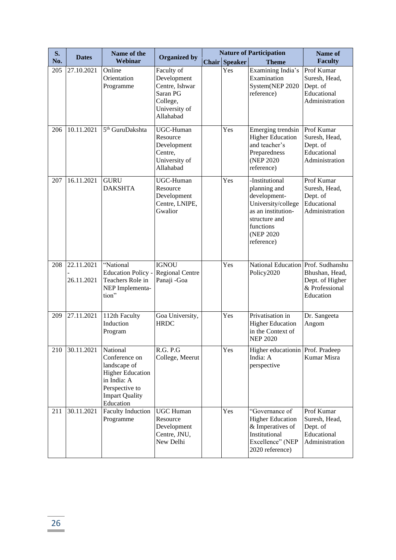| S.  | <b>Dates</b>             | Name of the                                                                                                                                 | <b>Organized by</b>                                                                               |  |                      | <b>Nature of Participation</b>                                                                                                                       | Name of                                                                  |
|-----|--------------------------|---------------------------------------------------------------------------------------------------------------------------------------------|---------------------------------------------------------------------------------------------------|--|----------------------|------------------------------------------------------------------------------------------------------------------------------------------------------|--------------------------------------------------------------------------|
| No. |                          | Webinar                                                                                                                                     |                                                                                                   |  | <b>Chair Speaker</b> | <b>Theme</b>                                                                                                                                         | <b>Faculty</b>                                                           |
| 205 | 27.10.2021               | Online<br>Orientation<br>Programme                                                                                                          | Faculty of<br>Development<br>Centre, Ishwar<br>Saran PG<br>College,<br>University of<br>Allahabad |  | Yes                  | Examining India's<br>Examination<br>System(NEP 2020<br>reference)                                                                                    | Prof Kumar<br>Suresh, Head,<br>Dept. of<br>Educational<br>Administration |
| 206 | 10.11.2021               | 5 <sup>th</sup> GuruDakshta                                                                                                                 | <b>UGC-Human</b><br>Resource<br>Development<br>Centre,<br>University of<br>Allahabad              |  | Yes                  | Emerging trendsin<br><b>Higher Education</b><br>and teacher's<br>Preparedness<br>(NEP 2020)<br>reference)                                            | Prof Kumar<br>Suresh, Head,<br>Dept. of<br>Educational<br>Administration |
| 207 | 16.11.2021               | <b>GURU</b><br><b>DAKSHTA</b>                                                                                                               | UGC-Human<br>Resource<br>Development<br>Centre, LNIPE,<br>Gwalior                                 |  | Yes                  | -Institutional<br>planning and<br>development-<br>University/college<br>as an institution-<br>structure and<br>functions<br>(NEP 2020)<br>reference) | Prof Kumar<br>Suresh, Head,<br>Dept. of<br>Educational<br>Administration |
| 208 | 22.11.2021<br>26.11.2021 | 'National<br><b>Education Policy -</b><br>Teachers Role in<br>NEP Implementa-<br>tion"                                                      | <b>IGNOU</b><br><b>Regional Centre</b><br>Panaji - Goa                                            |  | Yes                  | National Education Prof. Sudhanshu<br>Policy2020                                                                                                     | Bhushan, Head,<br>Dept. of Higher<br>& Professional<br>Education         |
| 209 | 27.11.2021               | 112th Faculty<br>Induction<br>Program                                                                                                       | Goa University,<br><b>HRDC</b>                                                                    |  | Yes                  | Privatisation in<br><b>Higher Education</b><br>in the Context of<br><b>NEP 2020</b>                                                                  | Dr. Sangeeta<br>Angom                                                    |
| 210 | 30.11.2021               | National<br>Conference on<br>landscape of<br><b>Higher Education</b><br>in India: A<br>Perspective to<br><b>Impart Quality</b><br>Education | R.G. P.G<br>College, Meerut                                                                       |  | Yes                  | Higher education   Prof. Pradeep<br>India: A<br>perspective                                                                                          | Kumar Misra                                                              |
| 211 | 30.11.2021               | <b>Faculty Induction</b><br>Programme                                                                                                       | <b>UGC Human</b><br>Resource<br>Development<br>Centre, JNU,<br>New Delhi                          |  | Yes                  | "Governance of<br><b>Higher Education</b><br>& Imperatives of<br>Institutional<br>Excellence" (NEP<br>2020 reference)                                | Prof Kumar<br>Suresh, Head,<br>Dept. of<br>Educational<br>Administration |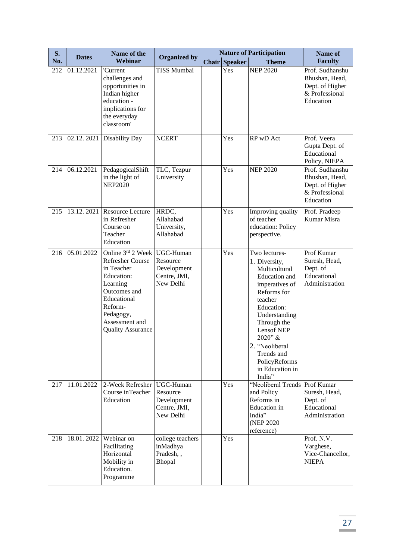| S.  | <b>Dates</b> | Name of the                                                                                                                                                                               | <b>Organized by</b>                                               | <b>Nature of Participation</b> |                                                                                                                                                                                                                                                                          | Name of                                                                             |
|-----|--------------|-------------------------------------------------------------------------------------------------------------------------------------------------------------------------------------------|-------------------------------------------------------------------|--------------------------------|--------------------------------------------------------------------------------------------------------------------------------------------------------------------------------------------------------------------------------------------------------------------------|-------------------------------------------------------------------------------------|
| No. |              | Webinar                                                                                                                                                                                   |                                                                   | <b>Chair Speaker</b>           | <b>Theme</b>                                                                                                                                                                                                                                                             | <b>Faculty</b>                                                                      |
| 212 | 01.12.2021   | 'Current<br>challenges and<br>opportunities in<br>Indian higher<br>education -<br>implications for<br>the everyday<br>classroom'                                                          | <b>TISS Mumbai</b>                                                | Yes                            | <b>NEP 2020</b>                                                                                                                                                                                                                                                          | Prof. Sudhanshu<br>Bhushan, Head,<br>Dept. of Higher<br>& Professional<br>Education |
| 213 |              | 02.12. 2021 Disability Day                                                                                                                                                                | <b>NCERT</b>                                                      | Yes                            | RP wD Act                                                                                                                                                                                                                                                                | Prof. Veera<br>Gupta Dept. of<br>Educational<br>Policy, NIEPA                       |
| 214 | 06.12.2021   | PedagogicalShift<br>in the light of<br><b>NEP2020</b>                                                                                                                                     | TLC, Tezpur<br>University                                         | Yes                            | <b>NEP 2020</b>                                                                                                                                                                                                                                                          | Prof. Sudhanshu<br>Bhushan, Head,<br>Dept. of Higher<br>& Professional<br>Education |
| 215 | 13.12.2021   | Resource Lecture<br>in Refresher<br>Course on<br>Teacher<br>Education                                                                                                                     | HRDC,<br>Allahabad<br>University,<br>Allahabad                    | Yes                            | Improving quality<br>of teacher<br>education: Policy<br>perspective.                                                                                                                                                                                                     | Prof. Pradeep<br>Kumar Misra                                                        |
| 216 | 05.01.2022   | Online 3rd 2 Week<br><b>Refresher Course</b><br>in Teacher<br>Education:<br>Learning<br>Outcomes and<br>Educational<br>Reform-<br>Pedagogy,<br>Assessment and<br><b>Quality Assurance</b> | UGC-Human<br>Resource<br>Development<br>Centre, JMI,<br>New Delhi | Yes                            | Two lectures-<br>1. Diversity,<br>Multicultural<br>Education and<br>imperatives of<br>Reforms for<br>teacher<br>Education:<br>Understanding<br>Through the<br><b>Lensof NEP</b><br>2020" &<br>2. "Neoliberal<br>Trends and<br>PolicyReforms<br>in Education in<br>India" | Prof Kumar<br>Suresh, Head,<br>Dept. of<br>Educational<br>Administration            |
| 217 | 11.01.2022   | 2-Week Refresher<br>Course inTeacher<br>Education                                                                                                                                         | UGC-Human<br>Resource<br>Development<br>Centre, JMI,<br>New Delhi | Yes                            | "Neoliberal Trends Prof Kumar<br>and Policy<br>Reforms in<br><b>Education</b> in<br>India"<br>(NEP 2020)<br>reference)                                                                                                                                                   | Suresh, Head,<br>Dept. of<br>Educational<br>Administration                          |
| 218 | 18.01.2022   | Webinar on<br>Facilitating<br>Horizontal<br>Mobility in<br>Education.<br>Programme                                                                                                        | college teachers<br>inMadhya<br>Pradesh,,<br>Bhopal               | Yes                            |                                                                                                                                                                                                                                                                          | Prof. N.V.<br>Varghese,<br>Vice-Chancellor,<br><b>NIEPA</b>                         |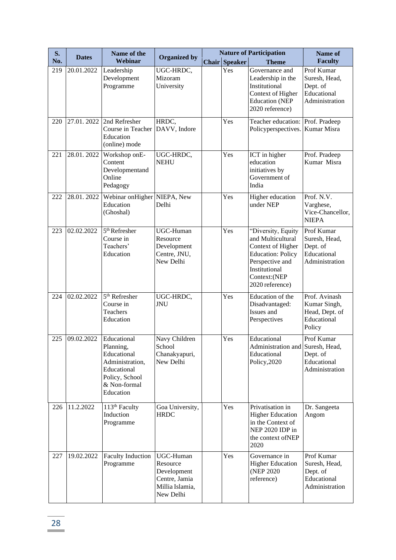| S.  | <b>Dates</b> | Name of the                                                                                                              | <b>Organized by</b>                                                                   |                      | <b>Nature of Participation</b>                                                                                                                                  | Name of                                                                  |
|-----|--------------|--------------------------------------------------------------------------------------------------------------------------|---------------------------------------------------------------------------------------|----------------------|-----------------------------------------------------------------------------------------------------------------------------------------------------------------|--------------------------------------------------------------------------|
| No. |              | Webinar                                                                                                                  |                                                                                       | <b>Chair Speaker</b> | <b>Theme</b>                                                                                                                                                    | <b>Faculty</b>                                                           |
| 219 | 20.01.2022   | Leadership<br>Development<br>Programme                                                                                   | UGC-HRDC,<br>Mizoram<br>University                                                    | Yes                  | Governance and<br>Leadership in the<br>Institutional<br>Context of Higher<br><b>Education</b> (NEP<br>2020 reference)                                           | Prof Kumar<br>Suresh, Head,<br>Dept. of<br>Educational<br>Administration |
| 220 | 27.01.2022   | 2nd Refresher<br>Course in Teacher<br>Education<br>(online) mode                                                         | HRDC,<br>DAVV, Indore                                                                 | Yes                  | Teacher education:<br>Policyperspectives.                                                                                                                       | Prof. Pradeep<br>Kumar Misra                                             |
| 221 | 28.01.2022   | Workshop onE-<br>Content<br>Developmentand<br>Online<br>Pedagogy                                                         | UGC-HRDC,<br><b>NEHU</b>                                                              | Yes                  | ICT in higher<br>education<br>initiatives by<br>Government of<br>India                                                                                          | Prof. Pradeep<br>Kumar Misra                                             |
| 222 | 28.01.2022   | Webinar on Higher NIEPA, New<br>Education<br>(Ghoshal)                                                                   | Delhi                                                                                 | Yes                  | Higher education<br>under NEP                                                                                                                                   | Prof. N.V.<br>Varghese,<br>Vice-Chancellor,<br><b>NIEPA</b>              |
| 223 | 02.02.2022   | 5 <sup>th</sup> Refresher<br>Course in<br>Teachers'<br>Education                                                         | UGC-Human<br>Resource<br>Development<br>Centre, JNU,<br>New Delhi                     | Yes                  | "Diversity, Equity<br>and Multicultural<br>Context of Higher<br><b>Education: Policy</b><br>Perspective and<br>Institutional<br>Context:(NEP<br>2020 reference) | Prof Kumar<br>Suresh, Head,<br>Dept. of<br>Educational<br>Administration |
| 224 | 02.02.2022   | 5 <sup>th</sup> Refresher<br>Course in<br>Teachers<br>Education                                                          | UGC-HRDC,<br><b>JNU</b>                                                               | Yes                  | Education of the<br>Disadvantaged:<br>Issues and<br>Perspectives                                                                                                | Prof. Avinash<br>Kumar Singh,<br>Head, Dept. of<br>Educational<br>Policy |
| 225 | 09.02.2022   | Educational<br>Planning,<br>Educational<br>Administration,<br>Educational<br>Policy, School<br>& Non-formal<br>Education | Navy Children<br>School<br>Chanakyapuri,<br>New Delhi                                 | Yes                  | Educational<br>Administration and Suresh, Head,<br>Educational<br>Policy, 2020                                                                                  | Prof Kumar<br>Dept. of<br>Educational<br>Administration                  |
| 226 | 11.2.2022    | 113 <sup>th</sup> Faculty<br>Induction<br>Programme                                                                      | Goa University,<br><b>HRDC</b>                                                        | Yes                  | Privatisation in<br><b>Higher Education</b><br>in the Context of<br>NEP 2020 IDP in<br>the context ofNEP<br>2020                                                | Dr. Sangeeta<br>Angom                                                    |
| 227 | 19.02.2022   | <b>Faculty Induction</b><br>Programme                                                                                    | UGC-Human<br>Resource<br>Development<br>Centre, Jamia<br>Millia Islamia,<br>New Delhi | Yes                  | Governance in<br><b>Higher Education</b><br>(NEP 2020)<br>reference)                                                                                            | Prof Kumar<br>Suresh, Head,<br>Dept. of<br>Educational<br>Administration |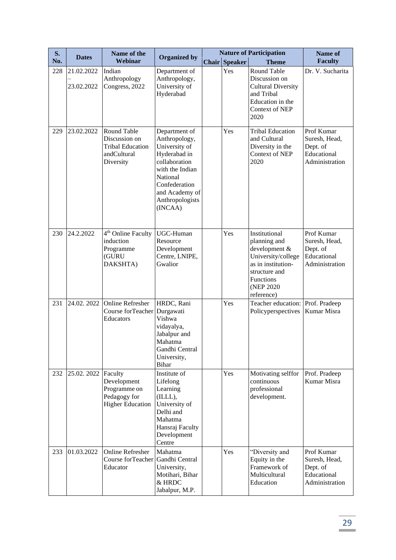| S.  | <b>Dates</b>             | Name of the                                                                         |                                                                                                                                                                                  |       | <b>Nature of Participation</b> |                                                                                                                                                      | Name of                                                                  |
|-----|--------------------------|-------------------------------------------------------------------------------------|----------------------------------------------------------------------------------------------------------------------------------------------------------------------------------|-------|--------------------------------|------------------------------------------------------------------------------------------------------------------------------------------------------|--------------------------------------------------------------------------|
| No. |                          | Webinar                                                                             | <b>Organized by</b>                                                                                                                                                              | Chair | <b>Speaker</b>                 | <b>Theme</b>                                                                                                                                         | <b>Faculty</b>                                                           |
| 228 | 21.02.2022<br>23.02.2022 | Indian<br>Anthropology<br>Congress, 2022                                            | Department of<br>Anthropology,<br>University of<br>Hyderabad                                                                                                                     |       | Yes                            | <b>Round Table</b><br>Discussion on<br><b>Cultural Diversity</b><br>and Tribal<br>Education in the<br>Context of NEP<br>2020                         | Dr. V. Sucharita                                                         |
| 229 | 23.02.2022               | Round Table<br>Discussion on<br><b>Tribal Education</b><br>andCultural<br>Diversity | Department of<br>Anthropology,<br>University of<br>Hyderabad in<br>collaboration<br>with the Indian<br>National<br>Confederation<br>and Academy of<br>Anthropologists<br>(INCAA) |       | Yes                            | <b>Tribal Education</b><br>and Cultural<br>Diversity in the<br>Context of NEP<br>2020                                                                | Prof Kumar<br>Suresh, Head,<br>Dept. of<br>Educational<br>Administration |
| 230 | 24.2.2022                | 4 <sup>th</sup> Online Faculty<br>induction<br>Programme<br>(GURU<br>DAKSHTA)       | UGC-Human<br>Resource<br>Development<br>Centre, LNIPE,<br>Gwalior                                                                                                                |       | Yes                            | Institutional<br>planning and<br>development &<br>University/college<br>as in institution-<br>structure and<br>Functions<br>(NEP 2020)<br>reference) | Prof Kumar<br>Suresh, Head,<br>Dept. of<br>Educational<br>Administration |
| 231 | 24.02.2022               | Online Refresher<br>Course forTeacher<br>Educators                                  | HRDC, Rani<br>Durgawati<br>Vishwa<br>vidayalya,<br>Jabalpur and<br>Mahatma<br>Gandhi Central<br>University,<br>Bihar                                                             |       | Yes                            | Teacher education:<br>Policyperspectives                                                                                                             | Prof. Pradeep<br>Kumar Misra                                             |
| 232 | 25.02. 2022 Faculty      | Development<br>Programme on<br>Pedagogy for<br><b>Higher Education</b>              | Institute of<br>Lifelong<br>Learning<br>(ILLL),<br>University of<br>Delhi and<br>Mahatma<br>Hansraj Faculty<br>Development<br>Centre                                             |       | Yes                            | Motivating selffor<br>continuous<br>professional<br>development.                                                                                     | Prof. Pradeep<br>Kumar Misra                                             |
| 233 | 01.03.2022               | Online Refresher<br>Course forTeacher<br>Educator                                   | Mahatma<br>Gandhi Central<br>University,<br>Motihari, Bihar<br>& HRDC<br>Jabalpur, M.P.                                                                                          |       | Yes                            | "Diversity and<br>Equity in the<br>Framework of<br>Multicultural<br>Education                                                                        | Prof Kumar<br>Suresh, Head,<br>Dept. of<br>Educational<br>Administration |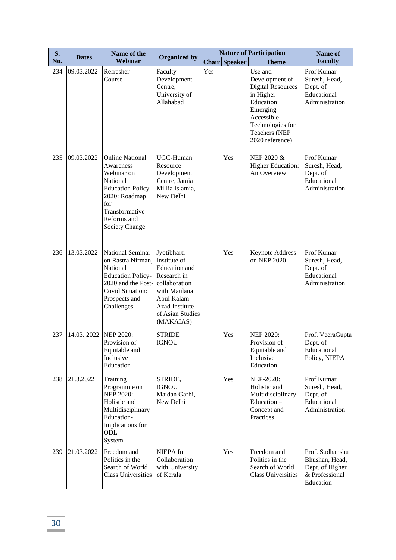| S.  | <b>Dates</b> | Name of the                                                                                                                                                                | <b>Organized by</b>                                                                                                                                                  | <b>Nature of Participation</b> |               |                                                                                                                                                                    | Name of                                                                             |
|-----|--------------|----------------------------------------------------------------------------------------------------------------------------------------------------------------------------|----------------------------------------------------------------------------------------------------------------------------------------------------------------------|--------------------------------|---------------|--------------------------------------------------------------------------------------------------------------------------------------------------------------------|-------------------------------------------------------------------------------------|
| No. |              | Webinar                                                                                                                                                                    |                                                                                                                                                                      |                                | Chair Speaker | <b>Theme</b>                                                                                                                                                       | <b>Faculty</b>                                                                      |
| 234 | 09.03.2022   | Refresher<br>Course                                                                                                                                                        | Faculty<br>Development<br>Centre,<br>University of<br>Allahabad                                                                                                      | Yes                            |               | Use and<br>Development of<br><b>Digital Resources</b><br>in Higher<br>Education:<br>Emerging<br>Accessible<br>Technologies for<br>Teachers (NEP<br>2020 reference) | Prof Kumar<br>Suresh, Head,<br>Dept. of<br>Educational<br>Administration            |
| 235 | 09.03.2022   | <b>Online National</b><br>Awareness<br>Webinar on<br>National<br><b>Education Policy</b><br>2020: Roadmap<br>for<br>Transformative<br>Reforms and<br><b>Society Change</b> | UGC-Human<br>Resource<br>Development<br>Centre, Jamia<br>Millia Islamia,<br>New Delhi                                                                                |                                | Yes           | NEP 2020 &<br><b>Higher Education:</b><br>An Overview                                                                                                              | Prof Kumar<br>Suresh, Head,<br>Dept. of<br>Educational<br>Administration            |
| 236 | 13.03.2022   | National Seminar<br>on Rastra Nirman,<br>National<br><b>Education Policy-</b><br>2020 and the Post-<br><b>Covid Situation:</b><br>Prospects and<br>Challenges              | Jyotibharti<br>Institute of<br><b>Education</b> and<br>Research in<br>collaboration<br>with Maulana<br>Abul Kalam<br>Azad Institute<br>of Asian Studies<br>(MAKAIAS) |                                | Yes           | <b>Keynote Address</b><br>on NEP 2020                                                                                                                              | Prof Kumar<br>Suresh, Head,<br>Dept. of<br>Educational<br>Administration            |
| 237 | 14.03.2022   | <b>NEP 2020:</b><br>Provision of<br>Equitable and<br>Inclusive<br>Education                                                                                                | <b>STRIDE</b><br><b>IGNOU</b>                                                                                                                                        |                                | Yes           | <b>NEP 2020:</b><br>Provision of<br>Equitable and<br>Inclusive<br>Education                                                                                        | Prof. VeeraGupta<br>Dept. of<br>Educational<br>Policy, NIEPA                        |
| 238 | 21.3.2022    | Training<br>Programme on<br><b>NEP 2020:</b><br>Holistic and<br>Multidisciplinary<br>Education-<br>Implications for<br>ODL<br>System                                       | STRIDE,<br><b>IGNOU</b><br>Maidan Garhi,<br>New Delhi                                                                                                                |                                | Yes           | NEP-2020:<br>Holistic and<br>Multidisciplinary<br>Education -<br>Concept and<br>Practices                                                                          | Prof Kumar<br>Suresh, Head,<br>Dept. of<br>Educational<br>Administration            |
| 239 | 21.03.2022   | Freedom and<br>Politics in the<br>Search of World<br><b>Class Universities</b>                                                                                             | NIEPA In<br>Collaboration<br>with University<br>of Kerala                                                                                                            |                                | Yes           | Freedom and<br>Politics in the<br>Search of World<br><b>Class Universities</b>                                                                                     | Prof. Sudhanshu<br>Bhushan, Head,<br>Dept. of Higher<br>& Professional<br>Education |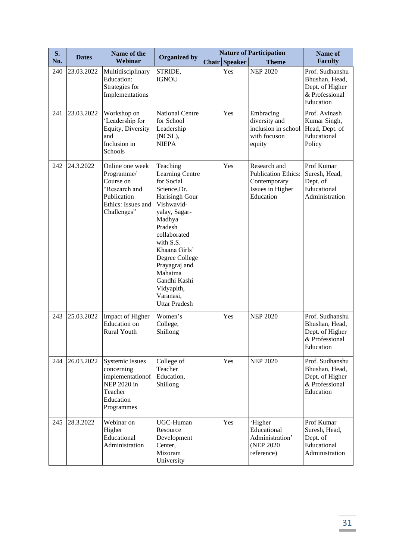| <b>S.</b> | <b>Dates</b> | Name of the                                                                                                     | <b>Organized by</b>                                                                                                                                                                                                                                                                            |              |                | <b>Nature of Participation</b>                                                              | Name of                                                                             |
|-----------|--------------|-----------------------------------------------------------------------------------------------------------------|------------------------------------------------------------------------------------------------------------------------------------------------------------------------------------------------------------------------------------------------------------------------------------------------|--------------|----------------|---------------------------------------------------------------------------------------------|-------------------------------------------------------------------------------------|
| No.       |              | Webinar                                                                                                         |                                                                                                                                                                                                                                                                                                | <b>Chair</b> | <b>Speaker</b> | <b>Theme</b>                                                                                | <b>Faculty</b>                                                                      |
| 240       | 23.03.2022   | Multidisciplinary<br>Education:<br>Strategies for<br>Implementations                                            | STRIDE,<br><b>IGNOU</b>                                                                                                                                                                                                                                                                        |              | Yes            | <b>NEP 2020</b>                                                                             | Prof. Sudhanshu<br>Bhushan, Head,<br>Dept. of Higher<br>& Professional<br>Education |
| 241       | 23.03.2022   | Workshop on<br>'Leadership for<br>Equity, Diversity<br>and<br>Inclusion in<br>Schools                           | <b>National Centre</b><br>for School<br>Leadership<br>(NCSL),<br><b>NIEPA</b>                                                                                                                                                                                                                  |              | Yes            | Embracing<br>diversity and<br>inclusion in school<br>with focuson<br>equity                 | Prof. Avinash<br>Kumar Singh,<br>Head, Dept. of<br>Educational<br>Policy            |
| 242       | 24.3.2022    | Online one week<br>Programme/<br>Course on<br>"Research and<br>Publication<br>Ethics: Issues and<br>Challenges" | Teaching<br>Learning Centre<br>for Social<br>Science, Dr.<br>Harisingh Gour<br>Vishwavid-<br>yalay, Sagar-<br>Madhya<br>Pradesh<br>collaborated<br>with S.S.<br>Khaana Girls'<br>Degree College<br>Prayagraj and<br>Mahatma<br>Gandhi Kashi<br>Vidyapith,<br>Varanasi,<br><b>Uttar Pradesh</b> |              | Yes            | Research and<br><b>Publication Ethics:</b><br>Contemporary<br>Issues in Higher<br>Education | Prof Kumar<br>Suresh, Head,<br>Dept. of<br>Educational<br>Administration            |
| 243       | 25.03.2022   | Impact of Higher<br><b>Education</b> on<br>Rural Youth                                                          | Women's<br>College,<br>Shillong                                                                                                                                                                                                                                                                |              | Yes            | <b>NEP 2020</b>                                                                             | Prof. Sudhanshu<br>Bhushan, Head,<br>Dept. of Higher<br>& Professional<br>Education |
| 244       | 26.03.2022   | <b>Systemic Issues</b><br>concerning<br>implementationof<br>NEP 2020 in<br>Teacher<br>Education<br>Programmes   | College of<br>Teacher<br>Education,<br>Shillong                                                                                                                                                                                                                                                |              | Yes            | <b>NEP 2020</b>                                                                             | Prof. Sudhanshu<br>Bhushan, Head,<br>Dept. of Higher<br>& Professional<br>Education |
| 245       | 28.3.2022    | Webinar on<br>Higher<br>Educational<br>Administration                                                           | UGC-Human<br>Resource<br>Development<br>Center,<br>Mizoram<br>University                                                                                                                                                                                                                       |              | Yes            | 'Higher<br>Educational<br>Administration'<br>(NEP 2020)<br>reference)                       | Prof Kumar<br>Suresh, Head,<br>Dept. of<br>Educational<br>Administration            |